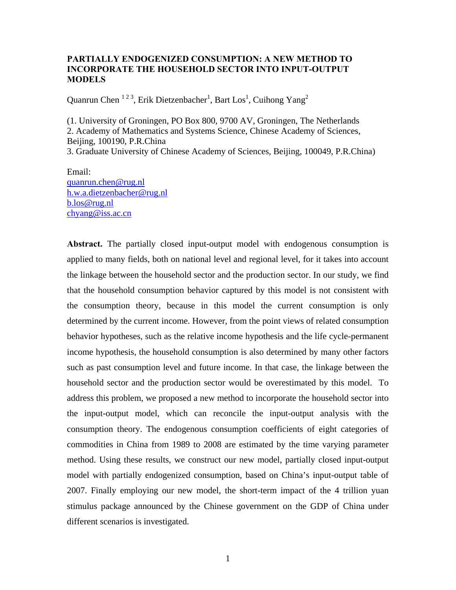## **PARTIALLY ENDOGENIZED CONSUMPTION: A NEW METHOD TO INCORPORATE THE HOUSEHOLD SECTOR INTO INPUT-OUTPUT MODELS**

Quanrun Chen  $^{123}$ , Erik Dietzenbacher<sup>1</sup>, Bart Los<sup>1</sup>, Cuihong Yang<sup>2</sup>

(1. University of Groningen, PO Box 800, 9700 AV, Groningen, The Netherlands 2. Academy of Mathematics and Systems Science, Chinese Academy of Sciences, Beijing, 100190, P.R.China

3. Graduate University of Chinese Academy of Sciences, Beijing, 100049, P.R.China)

Email: quanrun.chen@rug.nl h.w.a.dietzenbacher@rug.nl b.los@rug.nl chyang@iss.ac.cn

**Abstract.** The partially closed input-output model with endogenous consumption is applied to many fields, both on national level and regional level, for it takes into account the linkage between the household sector and the production sector. In our study, we find that the household consumption behavior captured by this model is not consistent with the consumption theory, because in this model the current consumption is only determined by the current income. However, from the point views of related consumption behavior hypotheses, such as the relative income hypothesis and the life cycle-permanent income hypothesis, the household consumption is also determined by many other factors such as past consumption level and future income. In that case, the linkage between the household sector and the production sector would be overestimated by this model. To address this problem, we proposed a new method to incorporate the household sector into the input-output model, which can reconcile the input-output analysis with the consumption theory. The endogenous consumption coefficients of eight categories of commodities in China from 1989 to 2008 are estimated by the time varying parameter method. Using these results, we construct our new model, partially closed input-output model with partially endogenized consumption, based on China's input-output table of 2007. Finally employing our new model, the short-term impact of the 4 trillion yuan stimulus package announced by the Chinese government on the GDP of China under different scenarios is investigated.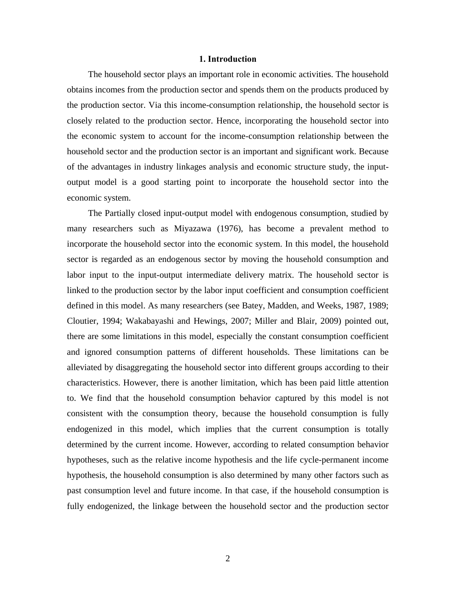### **1. Introduction**

The household sector plays an important role in economic activities. The household obtains incomes from the production sector and spends them on the products produced by the production sector. Via this income-consumption relationship, the household sector is closely related to the production sector. Hence, incorporating the household sector into the economic system to account for the income-consumption relationship between the household sector and the production sector is an important and significant work. Because of the advantages in industry linkages analysis and economic structure study, the inputoutput model is a good starting point to incorporate the household sector into the economic system.

The Partially closed input-output model with endogenous consumption, studied by many researchers such as Miyazawa (1976), has become a prevalent method to incorporate the household sector into the economic system. In this model, the household sector is regarded as an endogenous sector by moving the household consumption and labor input to the input-output intermediate delivery matrix. The household sector is linked to the production sector by the labor input coefficient and consumption coefficient defined in this model. As many researchers (see Batey, Madden, and Weeks, 1987, 1989; Cloutier, 1994; Wakabayashi and Hewings, 2007; Miller and Blair, 2009) pointed out, there are some limitations in this model, especially the constant consumption coefficient and ignored consumption patterns of different households. These limitations can be alleviated by disaggregating the household sector into different groups according to their characteristics. However, there is another limitation, which has been paid little attention to. We find that the household consumption behavior captured by this model is not consistent with the consumption theory, because the household consumption is fully endogenized in this model, which implies that the current consumption is totally determined by the current income. However, according to related consumption behavior hypotheses, such as the relative income hypothesis and the life cycle-permanent income hypothesis, the household consumption is also determined by many other factors such as past consumption level and future income. In that case, if the household consumption is fully endogenized, the linkage between the household sector and the production sector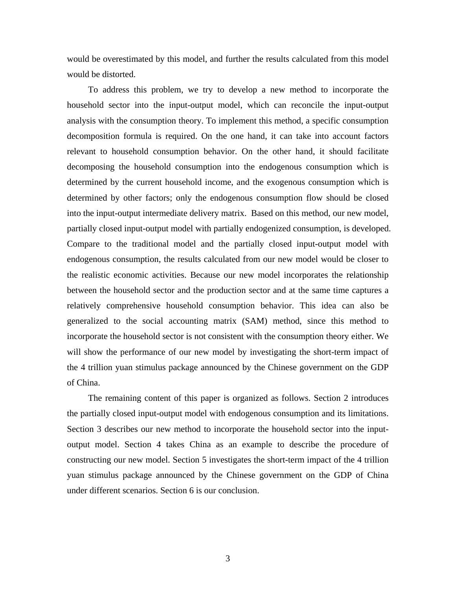would be overestimated by this model, and further the results calculated from this model would be distorted.

To address this problem, we try to develop a new method to incorporate the household sector into the input-output model, which can reconcile the input-output analysis with the consumption theory. To implement this method, a specific consumption decomposition formula is required. On the one hand, it can take into account factors relevant to household consumption behavior. On the other hand, it should facilitate decomposing the household consumption into the endogenous consumption which is determined by the current household income, and the exogenous consumption which is determined by other factors; only the endogenous consumption flow should be closed into the input-output intermediate delivery matrix. Based on this method, our new model, partially closed input-output model with partially endogenized consumption, is developed. Compare to the traditional model and the partially closed input-output model with endogenous consumption, the results calculated from our new model would be closer to the realistic economic activities. Because our new model incorporates the relationship between the household sector and the production sector and at the same time captures a relatively comprehensive household consumption behavior. This idea can also be generalized to the social accounting matrix (SAM) method, since this method to incorporate the household sector is not consistent with the consumption theory either. We will show the performance of our new model by investigating the short-term impact of the 4 trillion yuan stimulus package announced by the Chinese government on the GDP of China.

The remaining content of this paper is organized as follows. Section 2 introduces the partially closed input-output model with endogenous consumption and its limitations. Section 3 describes our new method to incorporate the household sector into the inputoutput model. Section 4 takes China as an example to describe the procedure of constructing our new model. Section 5 investigates the short-term impact of the 4 trillion yuan stimulus package announced by the Chinese government on the GDP of China under different scenarios. Section 6 is our conclusion.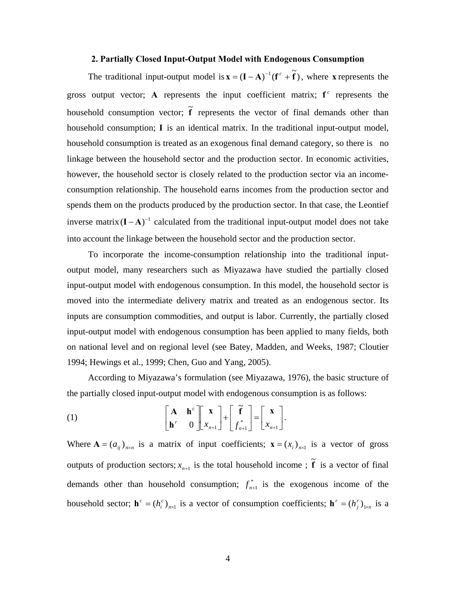#### **2. Partially Closed Input-Output Model with Endogenous Consumption**

The traditional input-output model is  $\mathbf{x} = (\mathbf{I} - \mathbf{A})^{-1}(\mathbf{f}^c + \mathbf{\tilde{f}})$ , where **x** represents the gross output vector; **A** represents the input coefficient matrix;  $f^c$  represents the household consumption vector;  $\tilde{f}$  represents the vector of final demands other than household consumption; **I** is an identical matrix. In the traditional input-output model, household consumption is treated as an exogenous final demand category, so there is no linkage between the household sector and the production sector. In economic activities, however, the household sector is closely related to the production sector via an incomeconsumption relationship. The household earns incomes from the production sector and spends them on the products produced by the production sector. In that case, the Leontief inverse matrix  $(I - A)^{-1}$  calculated from the traditional input-output model does not take into account the linkage between the household sector and the production sector.

To incorporate the income-consumption relationship into the traditional inputoutput model, many researchers such as Miyazawa have studied the partially closed input-output model with endogenous consumption. In this model, the household sector is moved into the intermediate delivery matrix and treated as an endogenous sector. Its inputs are consumption commodities, and output is labor. Currently, the partially closed input-output model with endogenous consumption has been applied to many fields, both on national level and on regional level (see Batey, Madden, and Weeks, 1987; Cloutier 1994; Hewings et al., 1999; Chen, Guo and Yang, 2005).

According to Miyazawa's formulation (see Miyazawa, 1976), the basic structure of the partially closed input-output model with endogenous consumption is as follows:

(1) 
$$
\begin{bmatrix} \mathbf{A} & \mathbf{h}^c \\ \mathbf{h}^r & 0 \end{bmatrix} \begin{bmatrix} \mathbf{X} \\ x_{n+1} \end{bmatrix} + \begin{bmatrix} \widetilde{\mathbf{f}} \\ f_{n+1}^* \end{bmatrix} = \begin{bmatrix} \mathbf{X} \\ x_{n+1} \end{bmatrix}.
$$

Where  $\mathbf{A} = (a_{ij})_{n \times n}$  is a matrix of input coefficients;  $\mathbf{x} = (x_i)_{n \times 1}$  is a vector of gross outputs of production sectors;  $x_{n+1}$  is the total household income ;  $\tilde{f}$  is a vector of final demands other than household consumption;  $f_{n+1}^*$  is the exogenous income of the household sector;  $\mathbf{h}^c = (h_i^c)_{n \times 1}$  $\mathbf{h}^c = (h_i^c)_{n \times 1}$  is a vector of consumption coefficients;  $\mathbf{h}^r = (h_j^r)_{1 \times n}$  $\mathbf{h}^r = (h_j^r)_{1 \times n}$  is a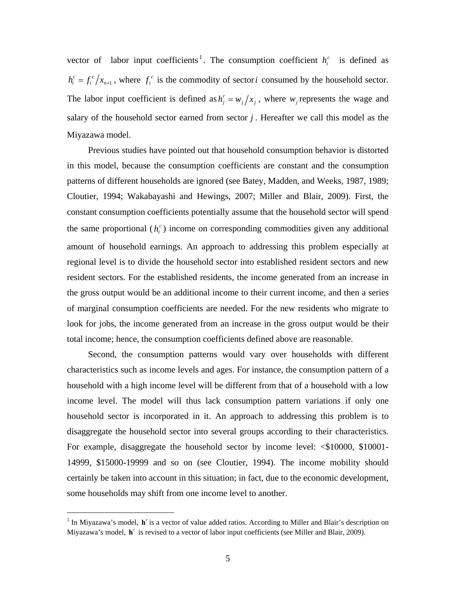vector of labor input coefficients<sup>1</sup>. The consumption coefficient  $h_i^c$  is defined as 1  $h_i^c = f_i^c / x_{n+1}$ , where  $f_i^c$  is the commodity of sector*i* consumed by the household sector. The labor input coefficient is defined as  $h'_j = w_j / x_j$ , where  $w_j$  represents the wage and salary of the household sector earned from sector *j* . Hereafter we call this model as the Miyazawa model.

Previous studies have pointed out that household consumption behavior is distorted in this model, because the consumption coefficients are constant and the consumption patterns of different households are ignored (see Batey, Madden, and Weeks, 1987, 1989; Cloutier, 1994; Wakabayashi and Hewings, 2007; Miller and Blair, 2009). First, the constant consumption coefficients potentially assume that the household sector will spend the same proportional  $(h_i^c)$  income on corresponding commodities given any additional amount of household earnings. An approach to addressing this problem especially at regional level is to divide the household sector into established resident sectors and new resident sectors. For the established residents, the income generated from an increase in the gross output would be an additional income to their current income, and then a series of marginal consumption coefficients are needed. For the new residents who migrate to look for jobs, the income generated from an increase in the gross output would be their total income; hence, the consumption coefficients defined above are reasonable.

Second, the consumption patterns would vary over households with different characteristics such as income levels and ages. For instance, the consumption pattern of a household with a high income level will be different from that of a household with a low income level. The model will thus lack consumption pattern variations if only one household sector is incorporated in it. An approach to addressing this problem is to disaggregate the household sector into several groups according to their characteristics. For example, disaggregate the household sector by income level:  $\leq$ \$10000, \$10001-14999, \$15000-19999 and so on (see Cloutier, 1994). The income mobility should certainly be taken into account in this situation; in fact, due to the economic development, some households may shift from one income level to another.

1

 $<sup>1</sup>$  In Miyazawa's model,  $\mathbf{h}'$  is a vector of value added ratios. According to Miller and Blair's description on</sup> Miyazawa's model,  $\mathbf{h}^r$  is revised to a vector of labor input coefficients (see Miller and Blair, 2009).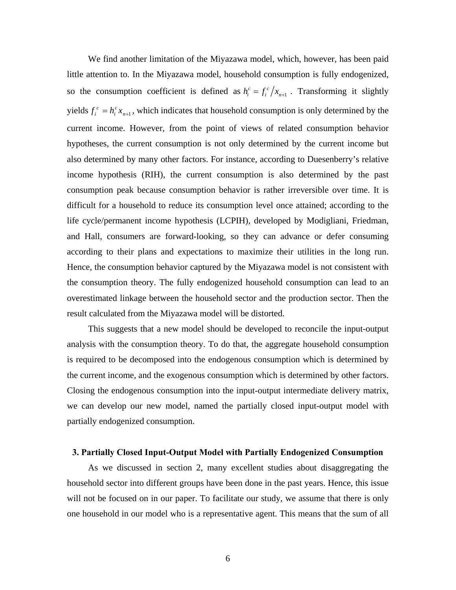We find another limitation of the Miyazawa model, which, however, has been paid little attention to. In the Miyazawa model, household consumption is fully endogenized, so the consumption coefficient is defined as  $h_i^c = f_i^c / x_{n+1}$ . Transforming it slightly yields  $f_i^c = h_i^c x_{n+1}$ *i*  $f_i^c = h_i^c x_{n+1}$ , which indicates that household consumption is only determined by the current income. However, from the point of views of related consumption behavior hypotheses, the current consumption is not only determined by the current income but also determined by many other factors. For instance, according to Duesenberry's relative income hypothesis (RIH), the current consumption is also determined by the past consumption peak because consumption behavior is rather irreversible over time. It is difficult for a household to reduce its consumption level once attained; according to the life cycle/permanent income hypothesis (LCPIH), developed by Modigliani, Friedman, and Hall, consumers are forward-looking, so they can advance or defer consuming according to their plans and expectations to maximize their utilities in the long run. Hence, the consumption behavior captured by the Miyazawa model is not consistent with the consumption theory. The fully endogenized household consumption can lead to an overestimated linkage between the household sector and the production sector. Then the result calculated from the Miyazawa model will be distorted.

This suggests that a new model should be developed to reconcile the input-output analysis with the consumption theory. To do that, the aggregate household consumption is required to be decomposed into the endogenous consumption which is determined by the current income, and the exogenous consumption which is determined by other factors. Closing the endogenous consumption into the input-output intermediate delivery matrix, we can develop our new model, named the partially closed input-output model with partially endogenized consumption.

## **3. Partially Closed Input-Output Model with Partially Endogenized Consumption**

As we discussed in section 2, many excellent studies about disaggregating the household sector into different groups have been done in the past years. Hence, this issue will not be focused on in our paper. To facilitate our study, we assume that there is only one household in our model who is a representative agent. This means that the sum of all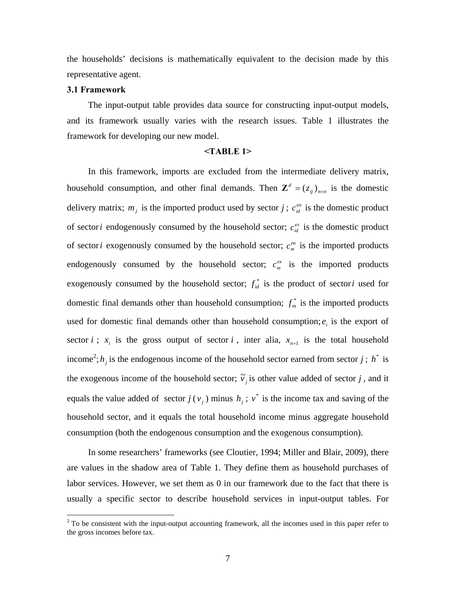the households' decisions is mathematically equivalent to the decision made by this representative agent.

## **3.1 Framework**

The input-output table provides data source for constructing input-output models, and its framework usually varies with the research issues. Table 1 illustrates the framework for developing our new model.

### **<TABLE 1>**

In this framework, imports are excluded from the intermediate delivery matrix, household consumption, and other final demands. Then  $\mathbf{Z}^d = (z_{ij})_{n \times n}$  is the domestic delivery matrix;  $m_j$  is the imported product used by sector *j*;  $c_{id}^{en}$  is the domestic product of sector *i* endogenously consumed by the household sector;  $c_{id}^{ex}$  is the domestic product of sector*i* exogenously consumed by the household sector;  $c_m^{e^n}$  is the imported products endogenously consumed by the household sector;  $c_m^{ex}$  is the imported products exogenously consumed by the household sector;  $f_{id}^*$  is the product of sector *i* used for domestic final demands other than household consumption;  $f_m^*$  is the imported products used for domestic final demands other than household consumption;  $e_i$  is the export of sector *i*;  $x_i$  is the gross output of sector *i*, inter alia,  $x_{n+1}$  is the total household income<sup>2</sup>;  $h_j$  is the endogenous income of the household sector earned from sector *j*;  $h^*$  is the exogenous income of the household sector;  $\tilde{v}_j$  is other value added of sector *j*, and it equals the value added of sector  $j(v_i)$  minus  $h_i$ ;  $v^*$  is the income tax and saving of the household sector, and it equals the total household income minus aggregate household consumption (both the endogenous consumption and the exogenous consumption).

In some researchers' frameworks (see Cloutier, 1994; Miller and Blair, 2009), there are values in the shadow area of Table 1. They define them as household purchases of labor services. However, we set them as 0 in our framework due to the fact that there is usually a specific sector to describe household services in input-output tables. For

<sup>&</sup>lt;sup>2</sup> To be consistent with the input-output accounting framework, all the incomes used in this paper refer to the gross incomes before tax.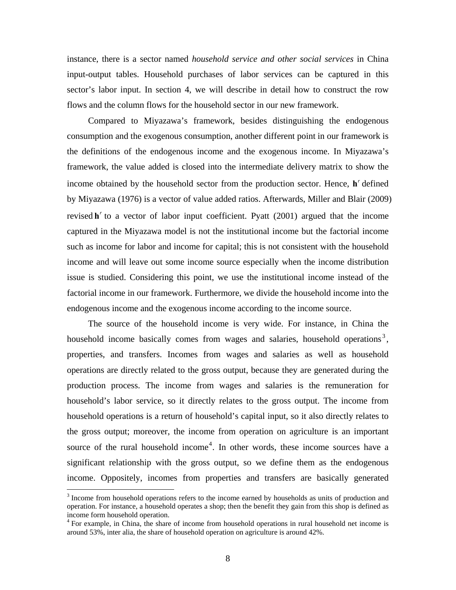instance, there is a sector named *household service and other social services* in China input-output tables. Household purchases of labor services can be captured in this sector's labor input. In section 4, we will describe in detail how to construct the row flows and the column flows for the household sector in our new framework.

Compared to Miyazawa's framework, besides distinguishing the endogenous consumption and the exogenous consumption, another different point in our framework is the definitions of the endogenous income and the exogenous income. In Miyazawa's framework, the value added is closed into the intermediate delivery matrix to show the income obtained by the household sector from the production sector. Hence, **h**<sup>*r*</sup> defined by Miyazawa (1976) is a vector of value added ratios. Afterwards, Miller and Blair (2009) revised  $\mathbf{h}^r$  to a vector of labor input coefficient. Pyatt (2001) argued that the income captured in the Miyazawa model is not the institutional income but the factorial income such as income for labor and income for capital; this is not consistent with the household income and will leave out some income source especially when the income distribution issue is studied. Considering this point, we use the institutional income instead of the factorial income in our framework. Furthermore, we divide the household income into the endogenous income and the exogenous income according to the income source.

The source of the household income is very wide. For instance, in China the household income basically comes from wages and salaries, household operations<sup>3</sup>, properties, and transfers. Incomes from wages and salaries as well as household operations are directly related to the gross output, because they are generated during the production process. The income from wages and salaries is the remuneration for household's labor service, so it directly relates to the gross output. The income from household operations is a return of household's capital input, so it also directly relates to the gross output; moreover, the income from operation on agriculture is an important source of the rural household income<sup>4</sup>. In other words, these income sources have a significant relationship with the gross output, so we define them as the endogenous income. Oppositely, incomes from properties and transfers are basically generated

1

<sup>&</sup>lt;sup>3</sup> Income from household operations refers to the income earned by households as units of production and operation. For instance, a household operates a shop; then the benefit they gain from this shop is defined as income form household operation.

<sup>&</sup>lt;sup>4</sup> For example, in China, the share of income from household operations in rural household net income is around 53%, inter alia, the share of household operation on agriculture is around 42%.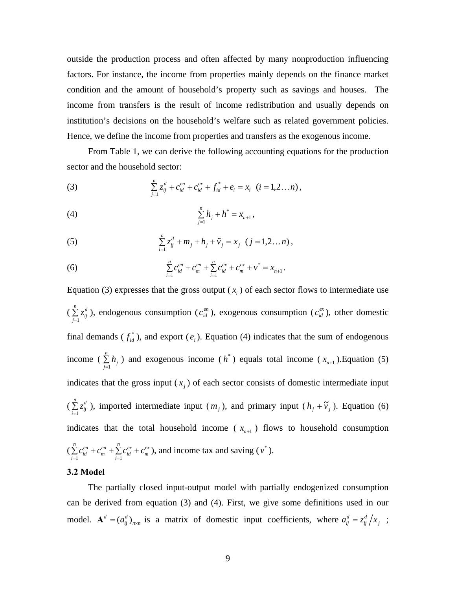outside the production process and often affected by many nonproduction influencing factors. For instance, the income from properties mainly depends on the finance market condition and the amount of household's property such as savings and houses. The income from transfers is the result of income redistribution and usually depends on institution's decisions on the household's welfare such as related government policies. Hence, we define the income from properties and transfers as the exogenous income.

From Table 1, we can derive the following accounting equations for the production sector and the household sector:

(3) 
$$
\sum_{j=1}^{n} z_{ij}^{d} + c_{id}^{en} + c_{id}^{ex} + f_{id}^{*} + e_{i} = x_{i} \quad (i = 1, 2...n),
$$

(4) 
$$
\sum_{j=1}^n h_j + h^* = x_{n+1},
$$

(5) 
$$
\sum_{i=1}^{n} z_{ij}^{d} + m_{j} + h_{j} + \tilde{v}_{j} = x_{j} \ (j = 1, 2...n),
$$

(6) 
$$
\sum_{i=1}^{n} c_{id}^{en} + c_m^{en} + \sum_{i=1}^{n} c_{id}^{ex} + c_m^{ex} + v^* = x_{n+1}.
$$

Equation (3) expresses that the gross output  $(x<sub>i</sub>)$  of each sector flows to intermediate use  $(\sum_{j=1}$  $\sum_{n=0}^n$  $\sum_{j=1}^{n} z_{ij}^{d}$ ), endogenous consumption ( $c_{id}^{en}$ ), exogenous consumption ( $c_{id}^{ex}$ ), other domestic final demands ( $f_{id}^*$ ), and export ( $e_i$ ). Equation (4) indicates that the sum of endogenous income ( $\sum_{j=1}^{n}$ *n*  $\sum_{j=1}^{n} h_j$ ) and exogenous income ( $h^*$ ) equals total income ( $x_{n+1}$ ). Equation (5) indicates that the gross input  $(x_i)$  of each sector consists of domestic intermediate input  $(\sum_{i=1}$  $\sum_{n=0}^n$  $\sum_{i=1}^{n} z_{ij}^{d}$ ), imported intermediate input  $(m_j)$ , and primary input  $(h_j + \tilde{v}_j)$ . Equation (6) indicates that the total household income ( $x_{n+1}$ ) flows to household consumption  $\left(\sum_{i=1}^{n} c_{id}^{en} + c_m^{en} + \sum_{i=1}^{n} \right)$  $\sum_{n=0}^{n}$   $e^{n}$   $\sum_{n=0}^{n} e^{nx}$   $\sum_{n=0}^{n} e^{nx}$  $\sum_{i=1}^{n} c_{id}^{en} + c_m^{en} + \sum_{i=1}^{n} c_{id}^{ex} + c_m^{ex}$ , and income tax and saving ( $v^*$ ).

#### **3.2 Model**

The partially closed input-output model with partially endogenized consumption can be derived from equation (3) and (4). First, we give some definitions used in our model.  $\mathbf{A}^d = (a_{ij}^d)_{n \times n}$  is a matrix of domestic input coefficients, where  $a_{ij}^d = z_{ij}^d / x_j$ ;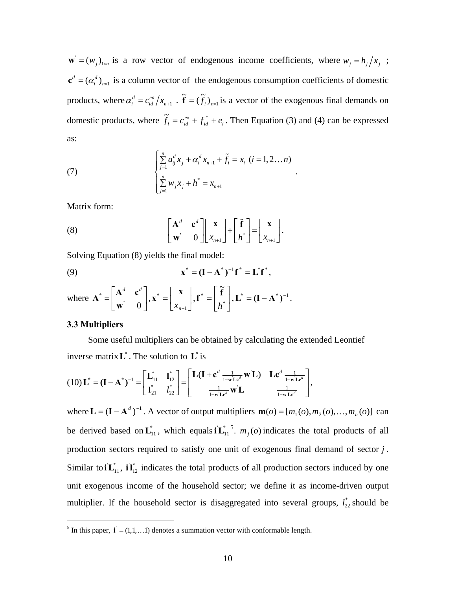$\mathbf{w} = (w_j)_{j \times n}$  is a row vector of endogenous income coefficients, where  $w_j = h_j / x_j$ ;  $\mathbf{c}^d = (\alpha_i^d)_{n \times 1}$  is a column vector of the endogenous consumption coefficients of domestic products, where  $\alpha_i^d = c_{id}^{en} / x_{n+1}$ .  $\tilde{\mathbf{f}} = (\tilde{f}_i)_{n \times 1}$  is a vector of the exogenous final demands on domestic products, where  $\tilde{f}_i = c_{id}^{ex} + f_{id}^* + e_i$ . Then Equation (3) and (4) can be expressed as:

.

(7) 
$$
\begin{cases} \sum_{j=1}^{n} a_{ij}^{d} x_{j} + \alpha_{i}^{d} x_{n+1} + \tilde{f}_{i} = x_{i} \ (i = 1, 2...n) \\ \sum_{j=1}^{n} w_{j} x_{j} + h^{*} = x_{n+1} \end{cases}
$$

Matrix form:

(8) 
$$
\begin{bmatrix} \mathbf{A}^d & \mathbf{c}^d \\ \mathbf{w}^{\mathbf{i}} & 0 \end{bmatrix} \begin{bmatrix} \mathbf{x} \\ x_{n+1} \end{bmatrix} + \begin{bmatrix} \tilde{\mathbf{f}} \\ h^* \end{bmatrix} = \begin{bmatrix} \mathbf{x} \\ x_{n+1} \end{bmatrix}.
$$

Solving Equation (8) yields the final model:

(9) 
$$
\mathbf{x}^* = (\mathbf{I} - \mathbf{A}^*)^{-1} \mathbf{f}^* = \mathbf{L}^* \mathbf{f}^*,
$$

where 
$$
\mathbf{A}^* = \begin{bmatrix} \mathbf{A}^d & \mathbf{c}^d \\ \mathbf{w}^i & 0 \end{bmatrix}, \mathbf{x}^* = \begin{bmatrix} \mathbf{x} \\ x_{n+1} \end{bmatrix}, \mathbf{f}^* = \begin{bmatrix} \widetilde{\mathbf{f}} \\ h^* \end{bmatrix}, \mathbf{L}^* = (\mathbf{I} - \mathbf{A}^*)^{-1}.
$$

## **3.3 Multipliers**

<u>.</u>

Some useful multipliers can be obtained by calculating the extended Leontief inverse matrix  $L^*$ . The solution to  $L^*$  is

$$
(10)\mathbf{L}^* = (\mathbf{I} - \mathbf{A}^*)^{-1} = \begin{bmatrix} \mathbf{L}_{11}^* & \mathbf{l}_{12}^* \\ \mathbf{l}_{21}^* & l_{22}^* \end{bmatrix} = \begin{bmatrix} \mathbf{L}(\mathbf{I} + \mathbf{c}^d \frac{1}{1 - \mathbf{w} \mathbf{L} \mathbf{c}^d} \mathbf{w} \mathbf{L}) & \mathbf{L} \mathbf{c}^d \frac{1}{1 - \mathbf{w} \mathbf{L} \mathbf{c}^d} \\ \frac{1}{1 - \mathbf{w} \mathbf{L} \mathbf{c}^d} \mathbf{w} \mathbf{L} & \frac{1}{1 - \mathbf{w} \mathbf{L} \mathbf{c}^d} \end{bmatrix},
$$

where  $\mathbf{L} = (\mathbf{I} - \mathbf{A}^d)^{-1}$ . A vector of output multipliers  $\mathbf{m}(o) = [m_1(o), m_2(o), ..., m_n(o)]$  can be derived based on  $\mathbf{L}_{11}^*$ , which equals  $i\mathbf{L}_{11}^*$ <sup>5</sup>.  $m_j(o)$  indicates the total products of all production sectors required to satisfy one unit of exogenous final demand of sector *j* . Similar to  $i\mathbf{L}_{11}^*$ ,  $i\mathbf{l}_{12}^*$  indicates the total products of all production sectors induced by one unit exogenous income of the household sector; we define it as income-driven output multiplier. If the household sector is disaggregated into several groups,  $l_{22}^*$  should be

<sup>&</sup>lt;sup>5</sup> In this paper,  $\mathbf{i} = (1, 1, \dots 1)$  denotes a summation vector with conformable length.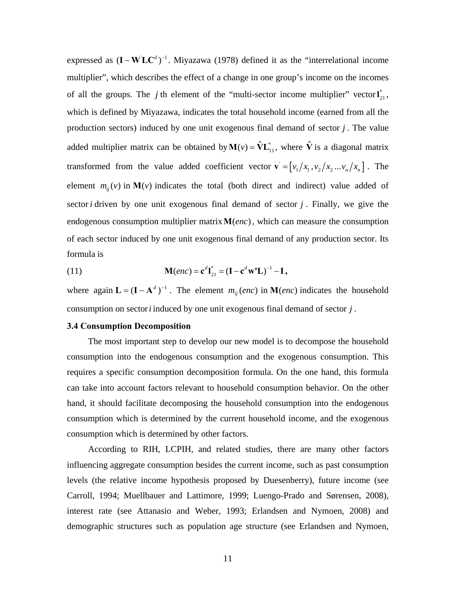expressed as  $(I - W LC<sup>d</sup>)<sup>-1</sup>$ . Miyazawa (1978) defined it as the "interrelational income multiplier", which describes the effect of a change in one group's income on the incomes of all the groups. The *j* th element of the "multi-sector income multiplier" vector  $I_{21}^*$ , which is defined by Miyazawa, indicates the total household income (earned from all the production sectors) induced by one unit exogenous final demand of sector *j* . The value added multiplier matrix can be obtained by  $M(v) = \hat{V} L_{11}^*$ , where  $\hat{V}$  is a diagonal matrix transformed from the value added coefficient vector  $\mathbf{v} = \left[ v_1 / x_1, v_2 / x_2 ... v_n / x_n \right]$ . The element  $m_{ij}(v)$  in  $M(v)$  indicates the total (both direct and indirect) value added of sector *i* driven by one unit exogenous final demand of sector *j* . Finally, we give the endogenous consumption multiplier matrix  $M(\text{enc})$ , which can measure the consumption of each sector induced by one unit exogenous final demand of any production sector. Its formula is

(11) 
$$
M(enc) = c^{d}I_{21}^{*} = (I - c^{d}W^{*}L)^{-1} - I,
$$

where again  $\mathbf{L} = (\mathbf{I} - \mathbf{A}^d)^{-1}$ . The element  $m_{ij}(enc)$  in  $\mathbf{M}(enc)$  indicates the household consumption on sector*i* induced by one unit exogenous final demand of sector *j* .

### **3.4 Consumption Decomposition**

The most important step to develop our new model is to decompose the household consumption into the endogenous consumption and the exogenous consumption. This requires a specific consumption decomposition formula. On the one hand, this formula can take into account factors relevant to household consumption behavior. On the other hand, it should facilitate decomposing the household consumption into the endogenous consumption which is determined by the current household income, and the exogenous consumption which is determined by other factors.

According to RIH, LCPIH, and related studies, there are many other factors influencing aggregate consumption besides the current income, such as past consumption levels (the relative income hypothesis proposed by Duesenberry), future income (see Carroll, 1994; Muellbauer and Lattimore, 1999; Luengo-Prado and Sørensen, 2008), interest rate (see Attanasio and Weber, 1993; Erlandsen and Nymoen, 2008) and demographic structures such as population age structure (see Erlandsen and Nymoen,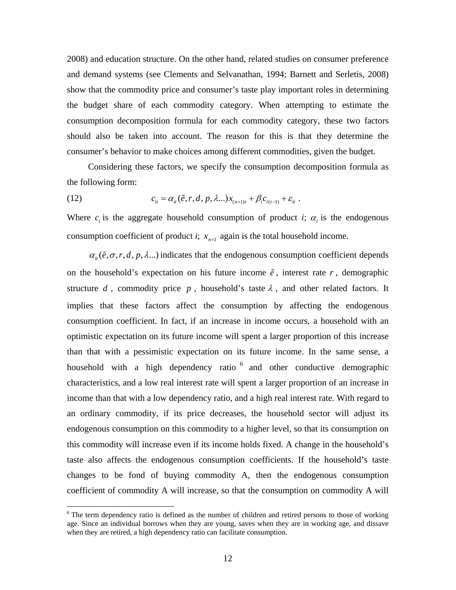2008) and education structure. On the other hand, related studies on consumer preference and demand systems (see Clements and Selvanathan, 1994; Barnett and Serletis, 2008) show that the commodity price and consumer's taste play important roles in determining the budget share of each commodity category. When attempting to estimate the consumption decomposition formula for each commodity category, these two factors should also be taken into account. The reason for this is that they determine the consumer's behavior to make choices among different commodities, given the budget.

Considering these factors, we specify the consumption decomposition formula as the following form:

(12) 
$$
c_{it} = \alpha_{it}(\tilde{e}, r, d, p, \lambda...) x_{(n+1)t} + \beta_i c_{i(t-1)} + \varepsilon_{it}.
$$

Where  $c_i$  is the aggregate household consumption of product *i*;  $\alpha_i$  is the endogenous consumption coefficient of product *i*;  $x_{n+1}$  again is the total household income.

 $\alpha_{i}(\tilde{e}, \sigma, r, d, p, \lambda...)$  indicates that the endogenous consumption coefficient depends on the household's expectation on his future income  $\tilde{e}$ , interest rate  $r$ , demographic structure *d*, commodity price *p*, household's taste  $\lambda$ , and other related factors. It implies that these factors affect the consumption by affecting the endogenous consumption coefficient. In fact, if an increase in income occurs, a household with an optimistic expectation on its future income will spent a larger proportion of this increase than that with a pessimistic expectation on its future income. In the same sense, a household with a high dependency ratio  $6$  and other conductive demographic characteristics, and a low real interest rate will spent a larger proportion of an increase in income than that with a low dependency ratio, and a high real interest rate. With regard to an ordinary commodity, if its price decreases, the household sector will adjust its endogenous consumption on this commodity to a higher level, so that its consumption on this commodity will increase even if its income holds fixed. A change in the household's taste also affects the endogenous consumption coefficients. If the household's taste changes to be fond of buying commodity A, then the endogenous consumption coefficient of commodity A will increase, so that the consumption on commodity A will

 $\overline{a}$ 

<sup>&</sup>lt;sup>6</sup> The term dependency ratio is defined as the number of children and retired persons to those of working age. Since an individual borrows when they are young, saves when they are in working age, and dissave when they are retired, a high dependency ratio can facilitate consumption.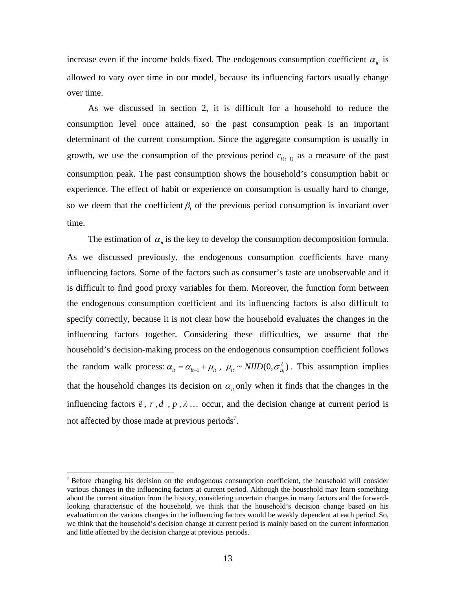increase even if the income holds fixed. The endogenous consumption coefficient  $\alpha_{it}$  is allowed to vary over time in our model, because its influencing factors usually change over time.

As we discussed in section 2, it is difficult for a household to reduce the consumption level once attained, so the past consumption peak is an important determinant of the current consumption. Since the aggregate consumption is usually in growth, we use the consumption of the previous period  $c_{i(t-1)}$  as a measure of the past consumption peak. The past consumption shows the household's consumption habit or experience. The effect of habit or experience on consumption is usually hard to change, so we deem that the coefficient  $\beta$ <sub>i</sub> of the previous period consumption is invariant over time.

The estimation of  $\alpha_{it}$  is the key to develop the consumption decomposition formula. As we discussed previously, the endogenous consumption coefficients have many influencing factors. Some of the factors such as consumer's taste are unobservable and it is difficult to find good proxy variables for them. Moreover, the function form between the endogenous consumption coefficient and its influencing factors is also difficult to specify correctly, because it is not clear how the household evaluates the changes in the influencing factors together. Considering these difficulties, we assume that the household's decision-making process on the endogenous consumption coefficient follows the random walk process:  $\alpha_{it} = \alpha_{it-1} + \mu_{it}$ ,  $\mu_{it} \sim NIID(0, \sigma_{\mu_i}^2)$ . This assumption implies that the household changes its decision on  $\alpha_{i}$  only when it finds that the changes in the influencing factors  $\tilde{e}$ ,  $r$ ,  $d$ ,  $p$ ,  $\lambda$ ... occur, and the decision change at current period is not affected by those made at previous periods<sup>7</sup>.

<u>.</u>

 $<sup>7</sup>$  Before changing his decision on the endogenous consumption coefficient, the household will consider</sup> various changes in the influencing factors at current period. Although the household may learn something about the current situation from the history, considering uncertain changes in many factors and the forwardlooking characteristic of the household, we think that the household's decision change based on his evaluation on the various changes in the influencing factors would be weakly dependent at each period. So, we think that the household's decision change at current period is mainly based on the current information and little affected by the decision change at previous periods.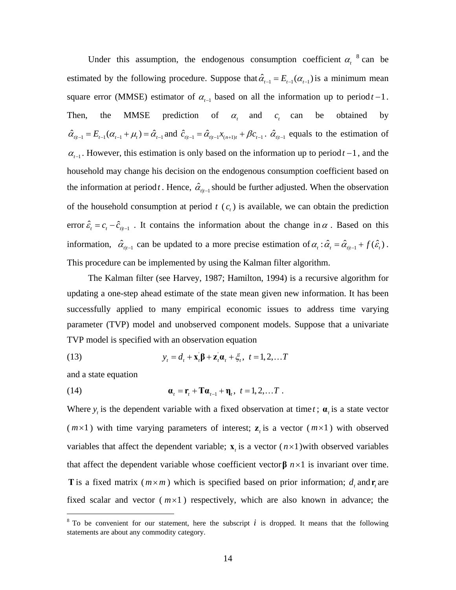Under this assumption, the endogenous consumption coefficient  $\alpha_t^8$  can be estimated by the following procedure. Suppose that  $\hat{\alpha}_{t-1} = E_{t-1}(\alpha_{t-1})$  is a minimum mean square error (MMSE) estimator of  $\alpha_{t-1}$  based on all the information up to period  $t-1$ . Then, the MMSE prediction of  $\alpha$ , and  $\alpha$  can be obtained by  $\hat{\alpha}_{t|t-1} = E_{t-1}(\alpha_{t-1} + \mu_t) = \hat{\alpha}_{t-1}$  and  $\hat{c}_{t|t-1} = \hat{\alpha}_{t|t-1} x_{t-1} + \beta c_{t-1}$ .  $\hat{\alpha}_{t|t-1}$  equals to the estimation of  $\alpha_{t-1}$ . However, this estimation is only based on the information up to period  $t-1$ , and the household may change his decision on the endogenous consumption coefficient based on the information at period *t*. Hence,  $\hat{\alpha}_{t,t-1}$  should be further adjusted. When the observation of the household consumption at period  $t$   $(c<sub>i</sub>)$  is available, we can obtain the prediction error  $\hat{\varepsilon}_t = c_t - \hat{c}_{t|t-1}$ . It contains the information about the change in  $\alpha$ . Based on this information,  $\hat{\alpha}_{t|t-1}$  can be updated to a more precise estimation of  $\alpha_t : \hat{\alpha}_t = \hat{\alpha}_{t|t-1} + f(\hat{\varepsilon}_t)$ . This procedure can be implemented by using the Kalman filter algorithm.

The Kalman filter (see Harvey, 1987; Hamilton, 1994) is a recursive algorithm for updating a one-step ahead estimate of the state mean given new information. It has been successfully applied to many empirical economic issues to address time varying parameter (TVP) model and unobserved component models. Suppose that a univariate TVP model is specified with an observation equation

(13) 
$$
y_t = d_t + \mathbf{x}_t \mathbf{\beta} + \mathbf{z}_t \mathbf{\alpha}_t + \xi_t, \ t = 1, 2, \dots T
$$

and a state equation

 $\overline{a}$ 

(14) 
$$
\mathbf{a}_t = \mathbf{r}_t + \mathbf{T} \mathbf{a}_{t-1} + \mathbf{\eta}_t, \ \ t = 1, 2, \dots T.
$$

Where  $y_t$  is the dependent variable with a fixed observation at time *t*;  $\alpha_t$  is a state vector  $(m \times 1)$  with time varying parameters of interest;  $z<sub>t</sub>$  is a vector  $(m \times 1)$  with observed variables that affect the dependent variable;  $\bf{x}$  is a vector  $(n \times 1)$  with observed variables that affect the dependent variable whose coefficient vector**β** *n*×1 is invariant over time. **T** is a fixed matrix  $(m \times m)$  which is specified based on prior information; *d*, and **r**, are fixed scalar and vector  $(m \times 1)$  respectively, which are also known in advance; the

 $8$  To be convenient for our statement, here the subscript *i* is dropped. It means that the following statements are about any commodity category.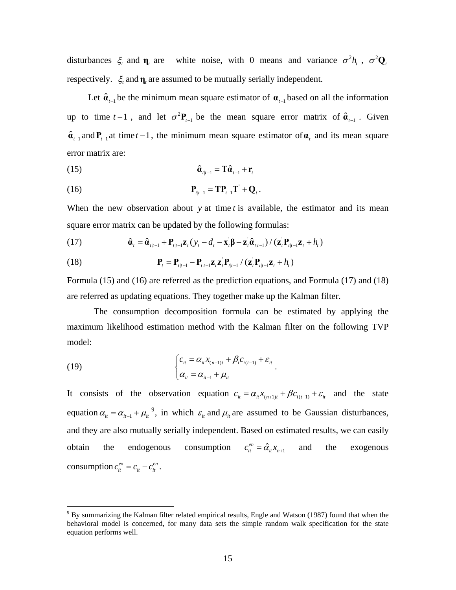disturbances  $\xi_t$  and  $\eta_t$  are white noise, with 0 means and variance  $\sigma^2 h_t$ ,  $\sigma^2 Q_t$ respectively.  $\xi$  and  $\eta$ , are assumed to be mutually serially independent.

Let  $\hat{\mathbf{a}}_{t-1}$  be the minimum mean square estimator of  $\mathbf{a}_{t-1}$  based on all the information up to time  $t-1$ , and let  $\sigma^2$ **P**<sub>*t*−1</sub> be the mean square error matrix of  $\hat{\mathbf{a}}_{t-1}$ . Given  $\hat{\mathbf{a}}_{t-1}$  and  $\mathbf{P}_{t-1}$  at time  $t-1$ , the minimum mean square estimator of  $\mathbf{a}_t$  and its mean square error matrix are:

$$
\hat{\mathbf{a}}_{t|t-1} = \mathbf{T}\hat{\mathbf{a}}_{t-1} + \mathbf{r}_t
$$

$$
\mathbf{P}_{t|t-1} = \mathbf{T} \mathbf{P}_{t-1} \mathbf{T}' + \mathbf{Q}_t.
$$

When the new observation about *y* at time *t* is available, the estimator and its mean square error matrix can be updated by the following formulas:

(17) 
$$
\hat{\mathbf{a}}_t = \hat{\mathbf{a}}_{t|t-1} + \mathbf{P}_{t|t-1} \mathbf{z}_t (y_t - d_t - \mathbf{x}_t \mathbf{\beta} - \mathbf{z}_t \hat{\mathbf{a}}_{t|t-1}) / (\mathbf{z}_t \mathbf{P}_{t|t-1} \mathbf{z}_t + h_t)
$$

(18) 
$$
\mathbf{P}_{t} = \mathbf{P}_{t|t-1} - \mathbf{P}_{t|t-1} \mathbf{z}_{t} \mathbf{z}_{t}^{\top} \mathbf{P}_{t|t-1} / (\mathbf{z}_{t}^{\top} \mathbf{P}_{t|t-1} \mathbf{z}_{t} + h_{t})
$$

Formula (15) and (16) are referred as the prediction equations, and Formula (17) and (18) are referred as updating equations. They together make up the Kalman filter.

The consumption decomposition formula can be estimated by applying the maximum likelihood estimation method with the Kalman filter on the following TVP model:

(19) 
$$
\begin{cases} c_{it} = \alpha_{it} x_{(n+1)t} + \beta_{i} c_{i(t-1)} + \varepsilon_{it} \\ \alpha_{it} = \alpha_{it-1} + \mu_{it} \end{cases}
$$

1

It consists of the observation equation  $c_{it} = \alpha_i x_{(n+1)t} + \beta c_{i(t-1)} + \varepsilon_i$  and the state equation  $\alpha_{it} = \alpha_{it-1} + \mu_{it}^{9}$ , in which  $\varepsilon_{it}$  and  $\mu_{it}$  are assumed to be Gaussian disturbances, and they are also mutually serially independent. Based on estimated results, we can easily obtain the endogenous consumption  $c_{it}^{en} = \hat{\alpha}_{it} x_{n+1}$  and the exogenous consumption  $c_{it}^{ex} = c_{it} - c_{it}^{en}$ .

 $9^9$  By summarizing the Kalman filter related empirical results, Engle and Watson (1987) found that when the behavioral model is concerned, for many data sets the simple random walk specification for the state equation performs well.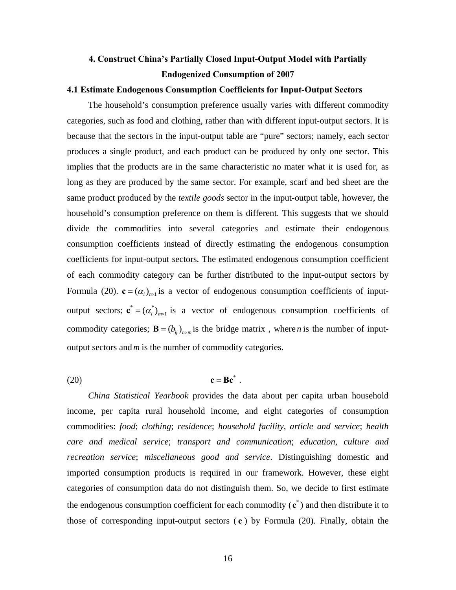# **4. Construct China's Partially Closed Input-Output Model with Partially Endogenized Consumption of 2007**

## **4.1 Estimate Endogenous Consumption Coefficients for Input-Output Sectors**

The household's consumption preference usually varies with different commodity categories, such as food and clothing, rather than with different input-output sectors. It is because that the sectors in the input-output table are "pure" sectors; namely, each sector produces a single product, and each product can be produced by only one sector. This implies that the products are in the same characteristic no mater what it is used for, as long as they are produced by the same sector. For example, scarf and bed sheet are the same product produced by the *textile goods* sector in the input-output table, however, the household's consumption preference on them is different. This suggests that we should divide the commodities into several categories and estimate their endogenous consumption coefficients instead of directly estimating the endogenous consumption coefficients for input-output sectors. The estimated endogenous consumption coefficient of each commodity category can be further distributed to the input-output sectors by Formula (20).  $\mathbf{c} = (\alpha_i)_{i \in \mathbb{N}}$  is a vector of endogenous consumption coefficients of inputoutput sectors;  $\mathbf{c}^* = (a_i^*)_{m \times 1}$  is a vector of endogenous consumption coefficients of commodity categories;  $\mathbf{B} = (b_{ij})_{n \times m}$  is the bridge matrix, where *n* is the number of inputoutput sectors and*m* is the number of commodity categories.

(20)  $\mathbf{c} = \mathbf{B} \mathbf{c}^*$ .

*China Statistical Yearbook* provides the data about per capita urban household income, per capita rural household income, and eight categories of consumption commodities: *food*; *clothing*; *residence*; *household facility*, *article and service*; *health care and medical service*; *transport and communication*; *education, culture and recreation service*; *miscellaneous good and service*. Distinguishing domestic and imported consumption products is required in our framework. However, these eight categories of consumption data do not distinguish them. So, we decide to first estimate the endogenous consumption coefficient for each commodity  $(c^*)$  and then distribute it to those of corresponding input-output sectors ( **c** ) by Formula (20). Finally, obtain the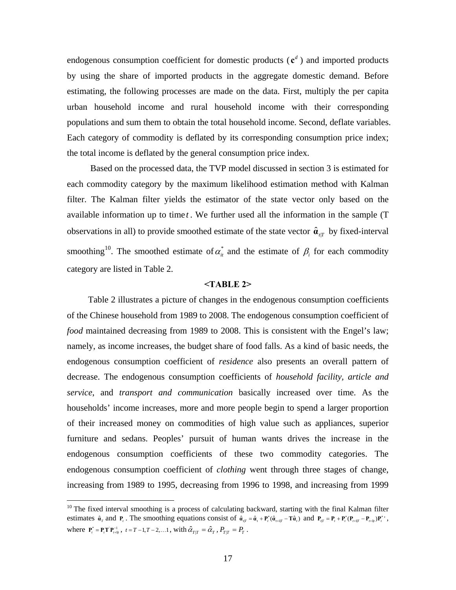endogenous consumption coefficient for domestic products  $(c^d)$  and imported products by using the share of imported products in the aggregate domestic demand. Before estimating, the following processes are made on the data. First, multiply the per capita urban household income and rural household income with their corresponding populations and sum them to obtain the total household income. Second, deflate variables. Each category of commodity is deflated by its corresponding consumption price index; the total income is deflated by the general consumption price index.

 Based on the processed data, the TVP model discussed in section 3 is estimated for each commodity category by the maximum likelihood estimation method with Kalman filter. The Kalman filter yields the estimator of the state vector only based on the available information up to time *t*. We further used all the information in the sample (T observations in all) to provide smoothed estimate of the state vector  $\hat{\mathbf{a}}_{iT}$  by fixed-interval smoothing<sup>10</sup>. The smoothed estimate of  $\alpha_n^*$  and the estimate of  $\beta_i$  for each commodity category are listed in Table 2.

## **<TABLE 2>**

Table 2 illustrates a picture of changes in the endogenous consumption coefficients of the Chinese household from 1989 to 2008. The endogenous consumption coefficient of *food* maintained decreasing from 1989 to 2008. This is consistent with the Engel's law; namely, as income increases, the budget share of food falls. As a kind of basic needs, the endogenous consumption coefficient of *residence* also presents an overall pattern of decrease. The endogenous consumption coefficients of *household facility, article and service*, and *transport and communication* basically increased over time. As the households' income increases, more and more people begin to spend a larger proportion of their increased money on commodities of high value such as appliances, superior furniture and sedans. Peoples' pursuit of human wants drives the increase in the endogenous consumption coefficients of these two commodity categories. The endogenous consumption coefficient of *clothing* went through three stages of change, increasing from 1989 to 1995, decreasing from 1996 to 1998, and increasing from 1999

 $\overline{a}$ 

 $10$  The fixed interval smoothing is a process of calculating backward, starting with the final Kalman filter estimates  $\hat{\mathbf{a}}_{\tau}$  and  $\mathbf{P}_{\tau}$ . The smoothing equations consist of  $\hat{\mathbf{a}}_{\tau\tau} = \hat{\mathbf{a}}_{\tau} + \mathbf{P}_{\tau}^{*}(\hat{\mathbf{a}}_{\tau\tau\tau} - \mathbf{T}\hat{\mathbf{a}}_{\tau})$  and  $\mathbf{P}_{\tau\tau} = \mathbf{P}_{\tau} + \mathbf{P}_{\tau}^{*}(\mathbf{P}_{\tau\tau\tau\tau} - \mathbf{P}_{\tau\tau\tau\$ where  $P_t^* = P_t T P_{t+1}^{-1}$ ,  $t = T - 1, T - 2, \dots 1$ , with  $\hat{\alpha}_{T|T} = \hat{\alpha}_T$ ,  $P_{T|T} = P_T$ .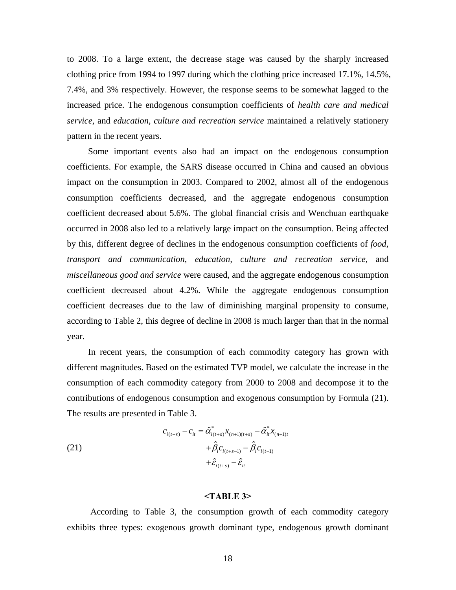to 2008. To a large extent, the decrease stage was caused by the sharply increased clothing price from 1994 to 1997 during which the clothing price increased 17.1%, 14.5%, 7.4%, and 3% respectively. However, the response seems to be somewhat lagged to the increased price. The endogenous consumption coefficients of *health care and medical service*, and *education, culture and recreation service* maintained a relatively stationery pattern in the recent years.

Some important events also had an impact on the endogenous consumption coefficients. For example, the SARS disease occurred in China and caused an obvious impact on the consumption in 2003. Compared to 2002, almost all of the endogenous consumption coefficients decreased, and the aggregate endogenous consumption coefficient decreased about 5.6%. The global financial crisis and Wenchuan earthquake occurred in 2008 also led to a relatively large impact on the consumption. Being affected by this, different degree of declines in the endogenous consumption coefficients of *food*, *transport and communication*, *education, culture and recreation service*, and *miscellaneous good and service* were caused, and the aggregate endogenous consumption coefficient decreased about 4.2%. While the aggregate endogenous consumption coefficient decreases due to the law of diminishing marginal propensity to consume, according to Table 2, this degree of decline in 2008 is much larger than that in the normal year.

In recent years, the consumption of each commodity category has grown with different magnitudes. Based on the estimated TVP model, we calculate the increase in the consumption of each commodity category from 2000 to 2008 and decompose it to the contributions of endogenous consumption and exogenous consumption by Formula (21). The results are presented in Table 3.

(21)  

$$
c_{i(t+s)} - c_{it} = \hat{\alpha}_{i(t+s)}^* x_{(n+1)(t+s)} - \hat{\alpha}_{it}^* x_{(n+1)t} + \hat{\beta}_{i} c_{i(t+s-1)} - \hat{\beta}_{i} c_{i(t-1)} + \hat{\epsilon}_{i(t+s)} - \hat{\epsilon}_{it}
$$

## **<TABLE 3>**

 According to Table 3, the consumption growth of each commodity category exhibits three types: exogenous growth dominant type, endogenous growth dominant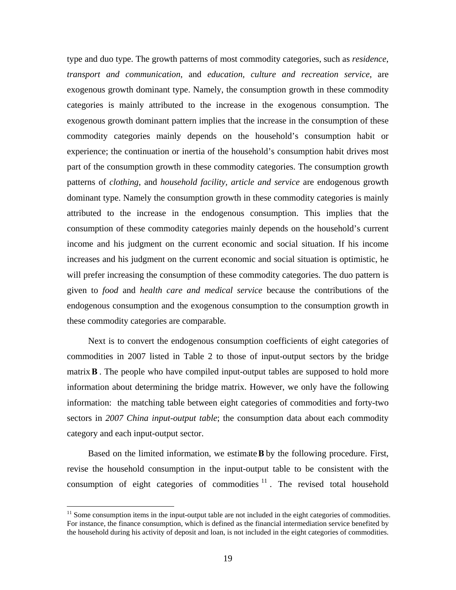type and duo type. The growth patterns of most commodity categories, such as *residence*, *transport and communication*, and *education, culture and recreation service*, are exogenous growth dominant type. Namely, the consumption growth in these commodity categories is mainly attributed to the increase in the exogenous consumption. The exogenous growth dominant pattern implies that the increase in the consumption of these commodity categories mainly depends on the household's consumption habit or experience; the continuation or inertia of the household's consumption habit drives most part of the consumption growth in these commodity categories. The consumption growth patterns of *clothing*, and *household facility, article and service* are endogenous growth dominant type. Namely the consumption growth in these commodity categories is mainly attributed to the increase in the endogenous consumption. This implies that the consumption of these commodity categories mainly depends on the household's current income and his judgment on the current economic and social situation. If his income increases and his judgment on the current economic and social situation is optimistic, he will prefer increasing the consumption of these commodity categories. The duo pattern is given to *food* and *health care and medical service* because the contributions of the endogenous consumption and the exogenous consumption to the consumption growth in these commodity categories are comparable.

Next is to convert the endogenous consumption coefficients of eight categories of commodities in 2007 listed in Table 2 to those of input-output sectors by the bridge matrix**B** . The people who have compiled input-output tables are supposed to hold more information about determining the bridge matrix. However, we only have the following information: the matching table between eight categories of commodities and forty-two sectors in *2007 China input-output table*; the consumption data about each commodity category and each input-output sector.

Based on the limited information, we estimate**B** by the following procedure. First, revise the household consumption in the input-output table to be consistent with the consumption of eight categories of commodities  $11$ . The revised total household

 $\overline{a}$ 

<sup>&</sup>lt;sup>11</sup> Some consumption items in the input-output table are not included in the eight categories of commodities. For instance, the finance consumption, which is defined as the financial intermediation service benefited by the household during his activity of deposit and loan, is not included in the eight categories of commodities.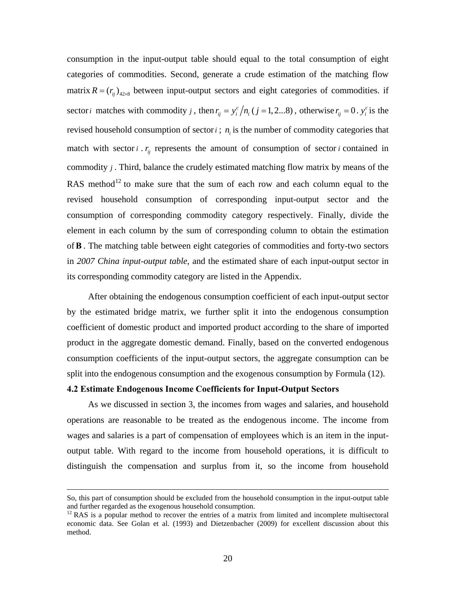consumption in the input-output table should equal to the total consumption of eight categories of commodities. Second, generate a crude estimation of the matching flow matrix  $R = (r_{ii})_{42 \times 8}$  between input-output sectors and eight categories of commodities. if sector *i* matches with commodity *j*, then  $r_{ij} = y_i^c / n_i$  (*j* = 1, 2...8), otherwise  $r_{ij} = 0$ .  $y_i^c$  is the revised household consumption of sector  $i$ ;  $n<sub>i</sub>$  is the number of commodity categories that match with sector  $i \cdot r_{ij}$  represents the amount of consumption of sector  $i$  contained in commodity *j* . Third, balance the crudely estimated matching flow matrix by means of the RAS method<sup>12</sup> to make sure that the sum of each row and each column equal to the revised household consumption of corresponding input-output sector and the consumption of corresponding commodity category respectively. Finally, divide the element in each column by the sum of corresponding column to obtain the estimation of**B** . The matching table between eight categories of commodities and forty-two sectors in *2007 China input-output table*, and the estimated share of each input-output sector in its corresponding commodity category are listed in the Appendix.

After obtaining the endogenous consumption coefficient of each input-output sector by the estimated bridge matrix, we further split it into the endogenous consumption coefficient of domestic product and imported product according to the share of imported product in the aggregate domestic demand. Finally, based on the converted endogenous consumption coefficients of the input-output sectors, the aggregate consumption can be split into the endogenous consumption and the exogenous consumption by Formula (12).

## **4.2 Estimate Endogenous Income Coefficients for Input-Output Sectors**

As we discussed in section 3, the incomes from wages and salaries, and household operations are reasonable to be treated as the endogenous income. The income from wages and salaries is a part of compensation of employees which is an item in the inputoutput table. With regard to the income from household operations, it is difficult to distinguish the compensation and surplus from it, so the income from household

So, this part of consumption should be excluded from the household consumption in the input-output table and further regarded as the exogenous household consumption.

<sup>&</sup>lt;sup>12</sup> RAS is a popular method to recover the entries of a matrix from limited and incomplete multisectoral economic data. See Golan et al. (1993) and Dietzenbacher (2009) for excellent discussion about this method.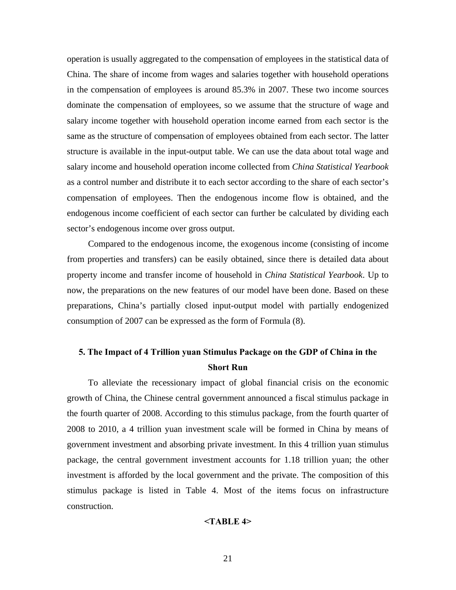operation is usually aggregated to the compensation of employees in the statistical data of China. The share of income from wages and salaries together with household operations in the compensation of employees is around 85.3% in 2007. These two income sources dominate the compensation of employees, so we assume that the structure of wage and salary income together with household operation income earned from each sector is the same as the structure of compensation of employees obtained from each sector. The latter structure is available in the input-output table. We can use the data about total wage and salary income and household operation income collected from *China Statistical Yearbook* as a control number and distribute it to each sector according to the share of each sector's compensation of employees. Then the endogenous income flow is obtained, and the endogenous income coefficient of each sector can further be calculated by dividing each sector's endogenous income over gross output.

Compared to the endogenous income, the exogenous income (consisting of income from properties and transfers) can be easily obtained, since there is detailed data about property income and transfer income of household in *China Statistical Yearbook*. Up to now, the preparations on the new features of our model have been done. Based on these preparations, China's partially closed input-output model with partially endogenized consumption of 2007 can be expressed as the form of Formula (8).

## **5. The Impact of 4 Trillion yuan Stimulus Package on the GDP of China in the Short Run**

To alleviate the recessionary impact of global financial crisis on the economic growth of China, the Chinese central government announced a fiscal stimulus package in the fourth quarter of 2008. According to this stimulus package, from the fourth quarter of 2008 to 2010, a 4 trillion yuan investment scale will be formed in China by means of government investment and absorbing private investment. In this 4 trillion yuan stimulus package, the central government investment accounts for 1.18 trillion yuan; the other investment is afforded by the local government and the private. The composition of this stimulus package is listed in Table 4. Most of the items focus on infrastructure construction.

### **<TABLE 4>**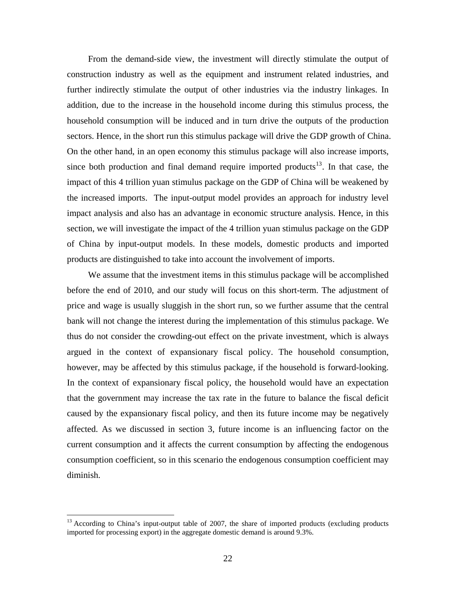From the demand-side view, the investment will directly stimulate the output of construction industry as well as the equipment and instrument related industries, and further indirectly stimulate the output of other industries via the industry linkages. In addition, due to the increase in the household income during this stimulus process, the household consumption will be induced and in turn drive the outputs of the production sectors. Hence, in the short run this stimulus package will drive the GDP growth of China. On the other hand, in an open economy this stimulus package will also increase imports, since both production and final demand require imported products<sup>13</sup>. In that case, the impact of this 4 trillion yuan stimulus package on the GDP of China will be weakened by the increased imports. The input-output model provides an approach for industry level impact analysis and also has an advantage in economic structure analysis. Hence, in this section, we will investigate the impact of the 4 trillion yuan stimulus package on the GDP of China by input-output models. In these models, domestic products and imported products are distinguished to take into account the involvement of imports.

We assume that the investment items in this stimulus package will be accomplished before the end of 2010, and our study will focus on this short-term. The adjustment of price and wage is usually sluggish in the short run, so we further assume that the central bank will not change the interest during the implementation of this stimulus package. We thus do not consider the crowding-out effect on the private investment, which is always argued in the context of expansionary fiscal policy. The household consumption, however, may be affected by this stimulus package, if the household is forward-looking. In the context of expansionary fiscal policy, the household would have an expectation that the government may increase the tax rate in the future to balance the fiscal deficit caused by the expansionary fiscal policy, and then its future income may be negatively affected. As we discussed in section 3, future income is an influencing factor on the current consumption and it affects the current consumption by affecting the endogenous consumption coefficient, so in this scenario the endogenous consumption coefficient may diminish.

1

<sup>&</sup>lt;sup>13</sup> According to China's input-output table of 2007, the share of imported products (excluding products imported for processing export) in the aggregate domestic demand is around 9.3%.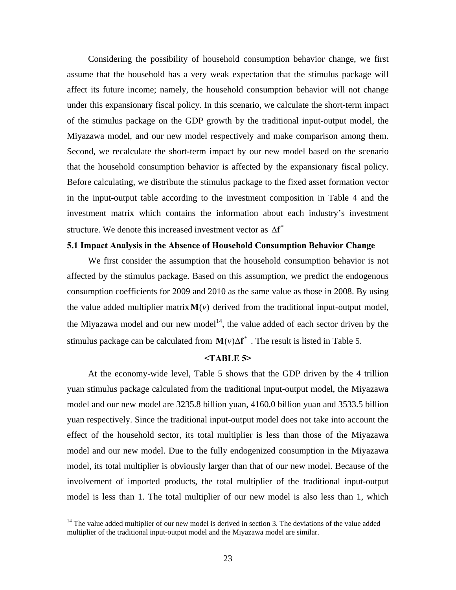Considering the possibility of household consumption behavior change, we first assume that the household has a very weak expectation that the stimulus package will affect its future income; namely, the household consumption behavior will not change under this expansionary fiscal policy. In this scenario, we calculate the short-term impact of the stimulus package on the GDP growth by the traditional input-output model, the Miyazawa model, and our new model respectively and make comparison among them. Second, we recalculate the short-term impact by our new model based on the scenario that the household consumption behavior is affected by the expansionary fiscal policy. Before calculating, we distribute the stimulus package to the fixed asset formation vector in the input-output table according to the investment composition in Table 4 and the investment matrix which contains the information about each industry's investment structure. We denote this increased investment vector as  $\Delta f^*$ 

## **5.1 Impact Analysis in the Absence of Household Consumption Behavior Change**

We first consider the assumption that the household consumption behavior is not affected by the stimulus package. Based on this assumption, we predict the endogenous consumption coefficients for 2009 and 2010 as the same value as those in 2008. By using the value added multiplier matrix  $M(v)$  derived from the traditional input-output model, the Miyazawa model and our new model<sup>14</sup>, the value added of each sector driven by the stimulus package can be calculated from  $\mathbf{M}(v)\Delta \mathbf{f}^*$ . The result is listed in Table 5.

## **<TABLE 5>**

At the economy-wide level, Table 5 shows that the GDP driven by the 4 trillion yuan stimulus package calculated from the traditional input-output model, the Miyazawa model and our new model are 3235.8 billion yuan, 4160.0 billion yuan and 3533.5 billion yuan respectively. Since the traditional input-output model does not take into account the effect of the household sector, its total multiplier is less than those of the Miyazawa model and our new model. Due to the fully endogenized consumption in the Miyazawa model, its total multiplier is obviously larger than that of our new model. Because of the involvement of imported products, the total multiplier of the traditional input-output model is less than 1. The total multiplier of our new model is also less than 1, which

 $\overline{a}$ 

 $14$  The value added multiplier of our new model is derived in section 3. The deviations of the value added multiplier of the traditional input-output model and the Miyazawa model are similar.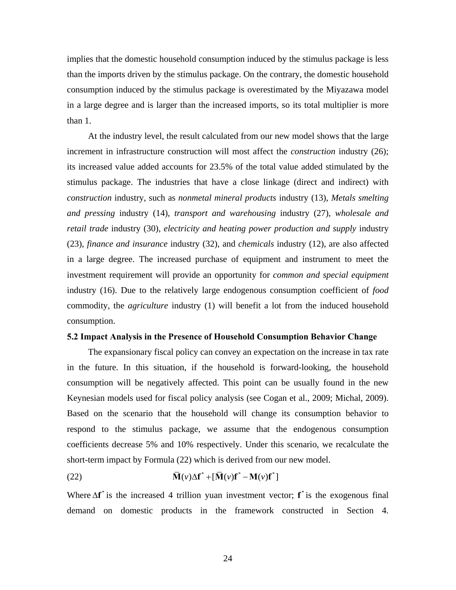implies that the domestic household consumption induced by the stimulus package is less than the imports driven by the stimulus package. On the contrary, the domestic household consumption induced by the stimulus package is overestimated by the Miyazawa model in a large degree and is larger than the increased imports, so its total multiplier is more than 1.

At the industry level, the result calculated from our new model shows that the large increment in infrastructure construction will most affect the *construction* industry (26); its increased value added accounts for 23.5% of the total value added stimulated by the stimulus package. The industries that have a close linkage (direct and indirect) with *construction* industry, such as *nonmetal mineral products* industry (13), *Metals smelting and pressing* industry (14), *transport and warehousing* industry (27), *wholesale and retail trade* industry (30), *electricity and heating power production and supply* industry (23), *finance and insurance* industry (32), and *chemicals* industry (12), are also affected in a large degree. The increased purchase of equipment and instrument to meet the investment requirement will provide an opportunity for *common and special equipment*  industry (16). Due to the relatively large endogenous consumption coefficient of *food* commodity, the *agriculture* industry (1) will benefit a lot from the induced household consumption.

### **5.2 Impact Analysis in the Presence of Household Consumption Behavior Change**

The expansionary fiscal policy can convey an expectation on the increase in tax rate in the future. In this situation, if the household is forward-looking, the household consumption will be negatively affected. This point can be usually found in the new Keynesian models used for fiscal policy analysis (see Cogan et al., 2009; Michal, 2009). Based on the scenario that the household will change its consumption behavior to respond to the stimulus package, we assume that the endogenous consumption coefficients decrease 5% and 10% respectively. Under this scenario, we recalculate the short-term impact by Formula (22) which is derived from our new model.

(22) 
$$
\overline{\mathbf{M}}(\nu)\Delta \mathbf{f}^* + [\overline{\mathbf{M}}(\nu)\mathbf{f}^* - \mathbf{M}(\nu)\mathbf{f}^*]
$$

Where  $\Delta f^*$  is the increased 4 trillion yuan investment vector;  $f^*$  is the exogenous final demand on domestic products in the framework constructed in Section 4.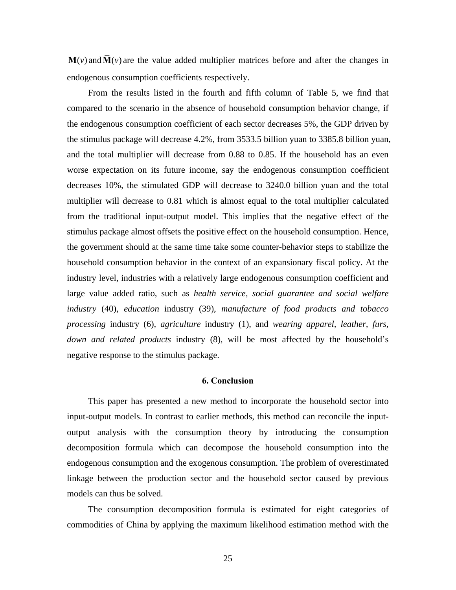$M(v)$  and  $\overline{M}(v)$  are the value added multiplier matrices before and after the changes in endogenous consumption coefficients respectively.

From the results listed in the fourth and fifth column of Table 5, we find that compared to the scenario in the absence of household consumption behavior change, if the endogenous consumption coefficient of each sector decreases 5%, the GDP driven by the stimulus package will decrease 4.2%, from 3533.5 billion yuan to 3385.8 billion yuan, and the total multiplier will decrease from 0.88 to 0.85. If the household has an even worse expectation on its future income, say the endogenous consumption coefficient decreases 10%, the stimulated GDP will decrease to 3240.0 billion yuan and the total multiplier will decrease to 0.81 which is almost equal to the total multiplier calculated from the traditional input-output model. This implies that the negative effect of the stimulus package almost offsets the positive effect on the household consumption. Hence, the government should at the same time take some counter-behavior steps to stabilize the household consumption behavior in the context of an expansionary fiscal policy. At the industry level, industries with a relatively large endogenous consumption coefficient and large value added ratio, such as *health service, social guarantee and social welfare industry* (40), *education* industry (39), *manufacture of food products and tobacco processing* industry (6), *agriculture* industry (1), and *wearing apparel, leather, furs, down and related products* industry (8), will be most affected by the household's negative response to the stimulus package.

## **6. Conclusion**

This paper has presented a new method to incorporate the household sector into input-output models. In contrast to earlier methods, this method can reconcile the inputoutput analysis with the consumption theory by introducing the consumption decomposition formula which can decompose the household consumption into the endogenous consumption and the exogenous consumption. The problem of overestimated linkage between the production sector and the household sector caused by previous models can thus be solved.

The consumption decomposition formula is estimated for eight categories of commodities of China by applying the maximum likelihood estimation method with the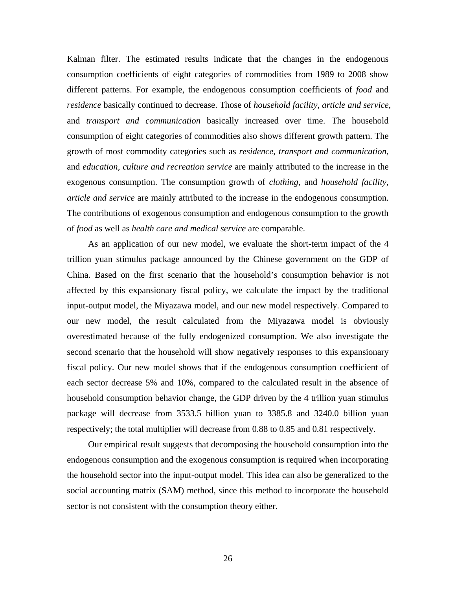Kalman filter. The estimated results indicate that the changes in the endogenous consumption coefficients of eight categories of commodities from 1989 to 2008 show different patterns. For example, the endogenous consumption coefficients of *food* and *residence* basically continued to decrease. Those of *household facility, article and service*, and *transport and communication* basically increased over time. The household consumption of eight categories of commodities also shows different growth pattern. The growth of most commodity categories such as *residence*, *transport and communication*, and *education, culture and recreation service* are mainly attributed to the increase in the exogenous consumption. The consumption growth of *clothing*, and *household facility, article and service* are mainly attributed to the increase in the endogenous consumption. The contributions of exogenous consumption and endogenous consumption to the growth of *food* as well as *health care and medical service* are comparable.

As an application of our new model, we evaluate the short-term impact of the 4 trillion yuan stimulus package announced by the Chinese government on the GDP of China. Based on the first scenario that the household's consumption behavior is not affected by this expansionary fiscal policy, we calculate the impact by the traditional input-output model, the Miyazawa model, and our new model respectively. Compared to our new model, the result calculated from the Miyazawa model is obviously overestimated because of the fully endogenized consumption. We also investigate the second scenario that the household will show negatively responses to this expansionary fiscal policy. Our new model shows that if the endogenous consumption coefficient of each sector decrease 5% and 10%, compared to the calculated result in the absence of household consumption behavior change, the GDP driven by the 4 trillion yuan stimulus package will decrease from 3533.5 billion yuan to 3385.8 and 3240.0 billion yuan respectively; the total multiplier will decrease from 0.88 to 0.85 and 0.81 respectively.

Our empirical result suggests that decomposing the household consumption into the endogenous consumption and the exogenous consumption is required when incorporating the household sector into the input-output model. This idea can also be generalized to the social accounting matrix (SAM) method, since this method to incorporate the household sector is not consistent with the consumption theory either.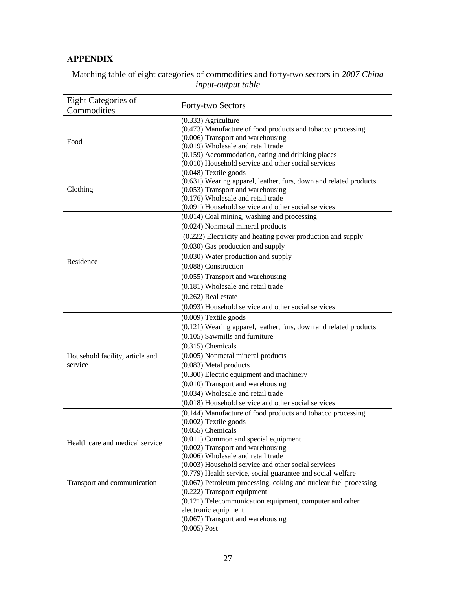## **APPENDIX**

| Eight Categories of                        |                                                                                           |
|--------------------------------------------|-------------------------------------------------------------------------------------------|
| Commodities                                | Forty-two Sectors                                                                         |
|                                            | $(0.333)$ Agriculture                                                                     |
|                                            | (0.473) Manufacture of food products and tobacco processing                               |
| Food                                       | (0.006) Transport and warehousing                                                         |
|                                            | (0.019) Wholesale and retail trade                                                        |
|                                            | (0.159) Accommodation, eating and drinking places                                         |
|                                            | (0.010) Household service and other social services                                       |
|                                            | $(0.048)$ Textile goods                                                                   |
|                                            | (0.631) Wearing apparel, leather, furs, down and related products                         |
| Clothing                                   | $(0.053)$ Transport and warehousing                                                       |
|                                            | (0.176) Wholesale and retail trade<br>(0.091) Household service and other social services |
|                                            | (0.014) Coal mining, washing and processing                                               |
|                                            |                                                                                           |
|                                            | (0.024) Nonmetal mineral products                                                         |
|                                            | (0.222) Electricity and heating power production and supply                               |
|                                            | $(0.030)$ Gas production and supply                                                       |
| Residence                                  | (0.030) Water production and supply                                                       |
|                                            | (0.088) Construction                                                                      |
|                                            | $(0.055)$ Transport and warehousing                                                       |
|                                            | (0.181) Wholesale and retail trade                                                        |
|                                            | $(0.262)$ Real estate                                                                     |
|                                            | (0.093) Household service and other social services                                       |
|                                            | $(0.009)$ Textile goods                                                                   |
|                                            | (0.121) Wearing apparel, leather, furs, down and related products                         |
|                                            | (0.105) Sawmills and furniture                                                            |
|                                            | $(0.315)$ Chemicals                                                                       |
|                                            | (0.005) Nonmetal mineral products                                                         |
| Household facility, article and<br>service | (0.083) Metal products                                                                    |
|                                            | (0.300) Electric equipment and machinery                                                  |
|                                            | $(0.010)$ Transport and warehousing                                                       |
|                                            |                                                                                           |
|                                            | (0.034) Wholesale and retail trade                                                        |
|                                            | (0.018) Household service and other social services                                       |
|                                            | (0.144) Manufacture of food products and tobacco processing                               |
|                                            | $(0.002)$ Textile goods<br>$(0.055)$ Chemicals                                            |
|                                            | (0.011) Common and special equipment                                                      |
| Health care and medical service            | (0.002) Transport and warehousing                                                         |
|                                            | (0.006) Wholesale and retail trade                                                        |
|                                            | (0.003) Household service and other social services                                       |
|                                            | (0.779) Health service, social guarantee and social welfare                               |
| Transport and communication                | (0.067) Petroleum processing, coking and nuclear fuel processing                          |
|                                            | (0.222) Transport equipment                                                               |
|                                            | (0.121) Telecommunication equipment, computer and other                                   |
|                                            | electronic equipment                                                                      |
|                                            | (0.067) Transport and warehousing                                                         |
|                                            | $(0.005)$ Post                                                                            |

Matching table of eight categories of commodities and forty-two sectors in *2007 China input-output table*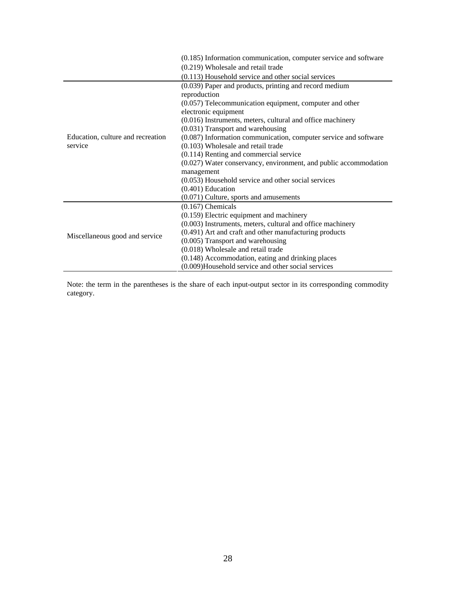|                                              | (0.185) Information communication, computer service and software |  |  |
|----------------------------------------------|------------------------------------------------------------------|--|--|
|                                              | (0.219) Wholesale and retail trade                               |  |  |
|                                              | (0.113) Household service and other social services              |  |  |
|                                              | (0.039) Paper and products, printing and record medium           |  |  |
|                                              | reproduction                                                     |  |  |
|                                              | $(0.057)$ Telecommunication equipment, computer and other        |  |  |
|                                              | electronic equipment                                             |  |  |
|                                              | $(0.016)$ Instruments, meters, cultural and office machinery     |  |  |
| Education, culture and recreation<br>service | (0.031) Transport and warehousing                                |  |  |
|                                              | (0.087) Information communication, computer service and software |  |  |
|                                              | (0.103) Wholesale and retail trade                               |  |  |
|                                              | (0.114) Renting and commercial service                           |  |  |
|                                              | (0.027) Water conservancy, environment, and public accommodation |  |  |
|                                              | management                                                       |  |  |
|                                              | (0.053) Household service and other social services              |  |  |
|                                              | $(0.401)$ Education                                              |  |  |
|                                              | $(0.071)$ Culture, sports and amusements                         |  |  |
|                                              | $(0.167)$ Chemicals                                              |  |  |
|                                              | (0.159) Electric equipment and machinery                         |  |  |
|                                              | (0.003) Instruments, meters, cultural and office machinery       |  |  |
| Miscellaneous good and service               | (0.491) Art and craft and other manufacturing products           |  |  |
|                                              | (0.005) Transport and warehousing                                |  |  |
|                                              | (0.018) Wholesale and retail trade                               |  |  |
|                                              | (0.148) Accommodation, eating and drinking places                |  |  |
|                                              | (0.009)Household service and other social services               |  |  |

Note: the term in the parentheses is the share of each input-output sector in its corresponding commodity category.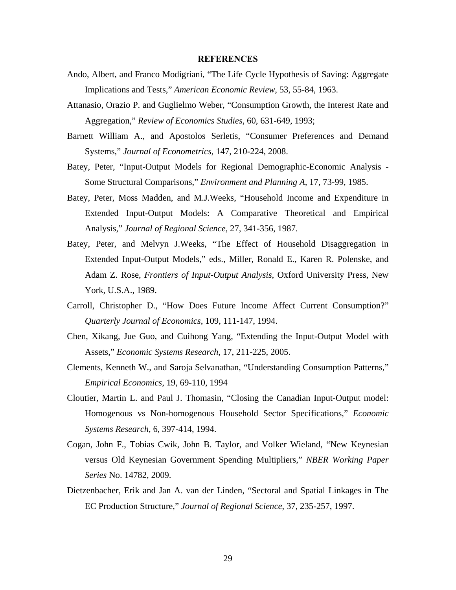#### **REFERENCES**

- Ando, Albert, and Franco Modigriani, "The Life Cycle Hypothesis of Saving: Aggregate Implications and Tests," *American Economic Review*, 53, 55-84, 1963.
- Attanasio, Orazio P. and Guglielmo Weber, "Consumption Growth, the Interest Rate and Aggregation," *Review of Economics Studies*, 60, 631-649, 1993;
- Barnett William A., and Apostolos Serletis, "Consumer Preferences and Demand Systems," *Journal of Econometrics*, 147, 210-224, 2008.
- Batey, Peter, "Input-Output Models for Regional Demographic-Economic Analysis Some Structural Comparisons," *Environment and Planning A*, 17, 73-99, 1985.
- Batey, Peter, Moss Madden, and M.J.Weeks, "Household Income and Expenditure in Extended Input-Output Models: A Comparative Theoretical and Empirical Analysis," *Journal of Regional Science*, 27, 341-356, 1987.
- Batey, Peter, and Melvyn J.Weeks, "The Effect of Household Disaggregation in Extended Input-Output Models," eds., Miller, Ronald E., Karen R. Polenske, and Adam Z. Rose, *Frontiers of Input-Output Analysis*, Oxford University Press, New York, U.S.A., 1989.
- Carroll, Christopher D., "How Does Future Income Affect Current Consumption?" *Quarterly Journal of Economics*, 109, 111-147, 1994.
- Chen, Xikang, Jue Guo, and Cuihong Yang, "Extending the Input-Output Model with Assets," *Economic Systems Research*, 17, 211-225, 2005.
- Clements, Kenneth W., and Saroja Selvanathan, "Understanding Consumption Patterns," *Empirical Economics*, 19, 69-110, 1994
- Cloutier, Martin L. and Paul J. Thomasin, "Closing the Canadian Input-Output model: Homogenous vs Non-homogenous Household Sector Specifications," *Economic Systems Research*, 6, 397-414, 1994.
- Cogan, John F., Tobias Cwik, John B. Taylor, and Volker Wieland, "New Keynesian versus Old Keynesian Government Spending Multipliers," *NBER Working Paper Series* No. 14782, 2009.
- Dietzenbacher, Erik and Jan A. van der Linden, "Sectoral and Spatial Linkages in The EC Production Structure," *Journal of Regional Science*, 37, 235-257, 1997.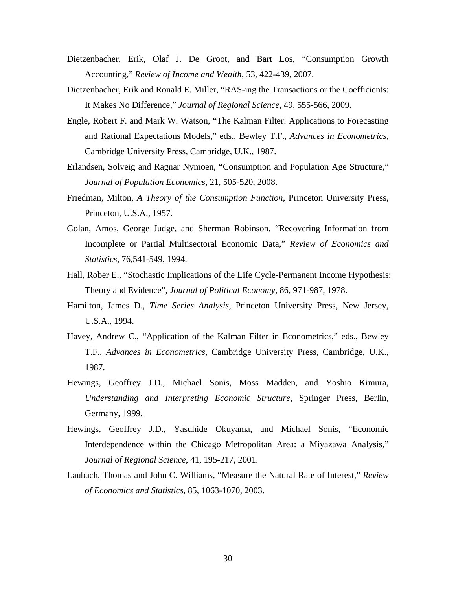- Dietzenbacher, Erik, Olaf J. De Groot, and Bart Los, "Consumption Growth Accounting," *Review of Income and Wealth*, 53, 422-439, 2007.
- Dietzenbacher, Erik and Ronald E. Miller, "RAS-ing the Transactions or the Coefficients: It Makes No Difference," *Journal of Regional Science*, 49, 555-566, 2009.
- Engle, Robert F. and Mark W. Watson, "The Kalman Filter: Applications to Forecasting and Rational Expectations Models," eds., Bewley T.F., *Advances in Econometrics*, Cambridge University Press, Cambridge, U.K., 1987.
- Erlandsen, Solveig and Ragnar Nymoen, "Consumption and Population Age Structure," *Journal of Population Economics*, 21, 505-520, 2008.
- Friedman, Milton, *A Theory of the Consumption Function*, Princeton University Press, Princeton, U.S.A., 1957.
- Golan, Amos, George Judge, and Sherman Robinson, "Recovering Information from Incomplete or Partial Multisectoral Economic Data," *Review of Economics and Statistics*, 76,541-549, 1994.
- Hall, Rober E., "Stochastic Implications of the Life Cycle-Permanent Income Hypothesis: Theory and Evidence", *Journal of Political Economy*, 86, 971-987, 1978.
- Hamilton, James D., *Time Series Analysis*, Princeton University Press, New Jersey, U.S.A., 1994.
- Havey, Andrew C., "Application of the Kalman Filter in Econometrics," eds., Bewley T.F., *Advances in Econometrics*, Cambridge University Press, Cambridge, U.K., 1987.
- Hewings, Geoffrey J.D., Michael Sonis, Moss Madden, and Yoshio Kimura, *Understanding and Interpreting Economic Structure*, Springer Press, Berlin, Germany, 1999.
- Hewings, Geoffrey J.D., Yasuhide Okuyama, and Michael Sonis, "Economic Interdependence within the Chicago Metropolitan Area: a Miyazawa Analysis," *Journal of Regional Science*, 41, 195-217, 2001.
- Laubach, Thomas and John C. Williams, "Measure the Natural Rate of Interest," *Review of Economics and Statistics*, 85, 1063-1070, 2003.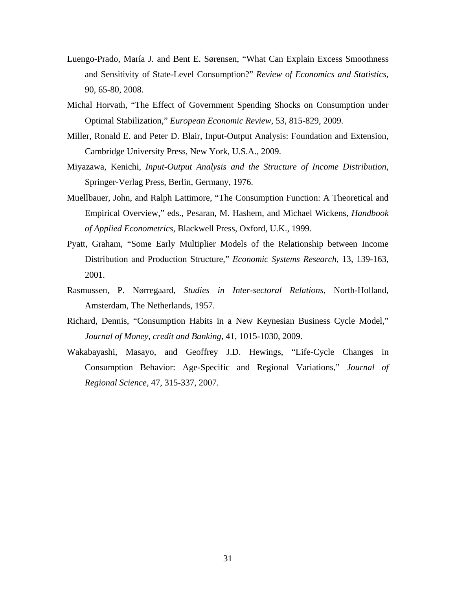- Luengo-Prado, María J. and Bent E. Sørensen, "What Can Explain Excess Smoothness and Sensitivity of State-Level Consumption?" *Review of Economics and Statistics*, 90, 65-80, 2008.
- Michal Horvath, "The Effect of Government Spending Shocks on Consumption under Optimal Stabilization," *European Economic Review*, 53, 815-829, 2009.
- Miller, Ronald E. and Peter D. Blair, Input-Output Analysis: Foundation and Extension, Cambridge University Press, New York, U.S.A., 2009.
- Miyazawa, Kenichi, *Input-Output Analysis and the Structure of Income Distribution*, Springer-Verlag Press, Berlin, Germany, 1976.
- Muellbauer, John, and Ralph Lattimore, "The Consumption Function: A Theoretical and Empirical Overview," eds., Pesaran, M. Hashem, and Michael Wickens, *Handbook of Applied Econometrics*, Blackwell Press, Oxford, U.K., 1999.
- Pyatt, Graham, "Some Early Multiplier Models of the Relationship between Income Distribution and Production Structure," *Economic Systems Research*, 13, 139-163, 2001.
- Rasmussen, P. Nørregaard, *Studies in Inter-sectoral Relations*, North-Holland, Amsterdam, The Netherlands, 1957.
- Richard, Dennis, "Consumption Habits in a New Keynesian Business Cycle Model," *Journal of Money, credit and Banking*, 41, 1015-1030, 2009.
- Wakabayashi, Masayo, and Geoffrey J.D. Hewings, "Life-Cycle Changes in Consumption Behavior: Age-Specific and Regional Variations," *Journal of Regional Science*, 47, 315-337, 2007.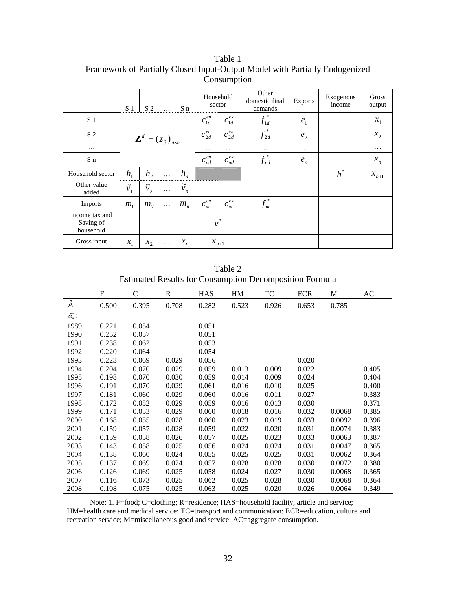|                                          | S <sub>1</sub>                         | S <sub>2</sub>                         |          | S n                    | Household<br>sector |                        | Other<br>domestic final<br>demands | <b>Exports</b> | Exogenous<br>income | Gross<br>output |
|------------------------------------------|----------------------------------------|----------------------------------------|----------|------------------------|---------------------|------------------------|------------------------------------|----------------|---------------------|-----------------|
| S <sub>1</sub>                           | $\mathbf{Z}^d = (z_{ij})_{n \times n}$ |                                        |          | $c_{1d}^{\mathit{en}}$ | $c_{1d}^{ex}$       | $f_{1d}^*$             | e <sub>1</sub>                     |                | $x_1$               |                 |
| S <sub>2</sub>                           |                                        |                                        |          | $c_{2d}^{en}$          | $c_{2d}^{ex}$       | $f_{2d}^*$             | e <sub>2</sub>                     |                | $x_2$               |                 |
| $\ddotsc$                                |                                        |                                        |          | $\cdots$               | $\cdots$            | $\ddot{\phantom{1}}$ . | $\cdots$                           |                | $\cdots$            |                 |
| S n                                      |                                        |                                        |          | $c_{nd}^{en}$          | $c_{nd}^{ex}$       | $f_{nd}^*$             | $e_n$                              |                | $x_n$               |                 |
| Household sector                         | $h_{1}$                                | h <sub>2</sub>                         | $\cdots$ | $h_n$                  |                     |                        |                                    |                | $h^*$               | $x_{n+1}$       |
| Other value<br>added                     | $\tilde{\phantom{a}}$<br>$\tilde{v_1}$ | $\tilde{\phantom{a}}$<br>$\tilde{v}_2$ | $\cdots$ | $\widetilde{\nu}_n$    |                     |                        |                                    |                |                     |                 |
| Imports                                  | m <sub>1</sub>                         | m <sub>2</sub>                         | $\cdots$ | $m_{n}$                | $c_m^{\mathit{en}}$ | $c_m^{\mathit{ex}}$    | $f_m^*$                            |                |                     |                 |
| income tax and<br>Saving of<br>household |                                        |                                        |          |                        | $v^*$               |                        |                                    |                |                     |                 |
| Gross input                              | $x_1$                                  | $x_2$                                  | $\cdots$ | $x_n$                  |                     | $x_{n+1}$              |                                    |                |                     |                 |

Table 1 Framework of Partially Closed Input-Output Model with Partially Endogenized Consumption

| Table 2                                                        |
|----------------------------------------------------------------|
| <b>Estimated Results for Consumption Decomposition Formula</b> |

|                      | ${\rm F}$ | $\mathsf{C}$ | $\mathbf R$ | <b>HAS</b> | HM    | TC    | <b>ECR</b> | M      | $\mathbf{A}\mathbf{C}$ |
|----------------------|-----------|--------------|-------------|------------|-------|-------|------------|--------|------------------------|
| $\hat{\beta}_i$      | 0.500     | 0.395        | 0.708       | 0.282      | 0.523 | 0.926 | 0.653      | 0.785  |                        |
| $\hat{\alpha}^*_u$ : |           |              |             |            |       |       |            |        |                        |
| 1989                 | 0.221     | 0.054        |             | 0.051      |       |       |            |        |                        |
| 1990                 | 0.252     | 0.057        |             | 0.051      |       |       |            |        |                        |
| 1991                 | 0.238     | 0.062        |             | 0.053      |       |       |            |        |                        |
| 1992                 | 0.220     | 0.064        |             | 0.054      |       |       |            |        |                        |
| 1993                 | 0.223     | 0.069        | 0.029       | 0.056      |       |       | 0.020      |        |                        |
| 1994                 | 0.204     | 0.070        | 0.029       | 0.059      | 0.013 | 0.009 | 0.022      |        | 0.405                  |
| 1995                 | 0.198     | 0.070        | 0.030       | 0.059      | 0.014 | 0.009 | 0.024      |        | 0.404                  |
| 1996                 | 0.191     | 0.070        | 0.029       | 0.061      | 0.016 | 0.010 | 0.025      |        | 0.400                  |
| 1997                 | 0.181     | 0.060        | 0.029       | 0.060      | 0.016 | 0.011 | 0.027      |        | 0.383                  |
| 1998                 | 0.172     | 0.052        | 0.029       | 0.059      | 0.016 | 0.013 | 0.030      |        | 0.371                  |
| 1999                 | 0.171     | 0.053        | 0.029       | 0.060      | 0.018 | 0.016 | 0.032      | 0.0068 | 0.385                  |
| 2000                 | 0.168     | 0.055        | 0.028       | 0.060      | 0.023 | 0.019 | 0.033      | 0.0092 | 0.396                  |
| 2001                 | 0.159     | 0.057        | 0.028       | 0.059      | 0.022 | 0.020 | 0.031      | 0.0074 | 0.383                  |
| 2002                 | 0.159     | 0.058        | 0.026       | 0.057      | 0.025 | 0.023 | 0.033      | 0.0063 | 0.387                  |
| 2003                 | 0.143     | 0.058        | 0.025       | 0.056      | 0.024 | 0.024 | 0.031      | 0.0047 | 0.365                  |
| 2004                 | 0.138     | 0.060        | 0.024       | 0.055      | 0.025 | 0.025 | 0.031      | 0.0062 | 0.364                  |
| 2005                 | 0.137     | 0.069        | 0.024       | 0.057      | 0.028 | 0.028 | 0.030      | 0.0072 | 0.380                  |
| 2006                 | 0.126     | 0.069        | 0.025       | 0.058      | 0.024 | 0.027 | 0.030      | 0.0068 | 0.365                  |
| 2007                 | 0.116     | 0.073        | 0.025       | 0.062      | 0.025 | 0.028 | 0.030      | 0.0068 | 0.364                  |
| 2008                 | 0.108     | 0.075        | 0.025       | 0.063      | 0.025 | 0.020 | 0.026      | 0.0064 | 0.349                  |

Note: 1. F=food; C=clothing; R=residence; HAS=household facility, article and service; HM=health care and medical service; TC=transport and communication; ECR=education, culture and recreation service; M=miscellaneous good and service; AC=aggregate consumption.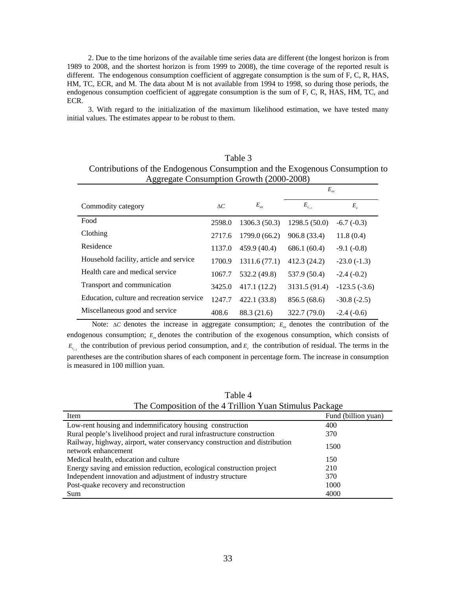2. Due to the time horizons of the available time series data are different (the longest horizon is from 1989 to 2008, and the shortest horizon is from 1999 to 2008), the time coverage of the reported result is different. The endogenous consumption coefficient of aggregate consumption is the sum of F, C, R, HAS, HM, TC, ECR, and M. The data about M is not available from 1994 to 1998, so during those periods, the endogenous consumption coefficient of aggregate consumption is the sum of F, C, R, HAS, HM, TC, and ECR.

3. With regard to the initialization of the maximum likelihood estimation, we have tested many initial values. The estimates appear to be robust to them.

| Table 3                                                                      |
|------------------------------------------------------------------------------|
| Contributions of the Endogenous Consumption and the Exogenous Consumption to |
| Aggregate Consumption Growth (2000-2008)                                     |

|                                           |            |                              | $E_{ex}$      |                   |  |  |
|-------------------------------------------|------------|------------------------------|---------------|-------------------|--|--|
| Commodity category                        | $\Delta C$ | $E_{\scriptscriptstyle{en}}$ | $E_{c_{t-1}}$ | $E_{\varepsilon}$ |  |  |
| Food                                      | 2598.0     | 1306.3 (50.3)                | 1298.5(50.0)  | $-6.7(-0.3)$      |  |  |
| Clothing                                  | 2717.6     | 1799.0 (66.2)                | 906.8 (33.4)  | 11.8(0.4)         |  |  |
| Residence                                 | 1137.0     | 459.9 (40.4)                 | 686.1 (60.4)  | $-9.1(-0.8)$      |  |  |
| Household facility, article and service   | 1700.9     | 1311.6(77.1)                 | 412.3 (24.2)  | $-23.0(-1.3)$     |  |  |
| Health care and medical service           | 1067.7     | 532.2 (49.8)                 | 537.9 (50.4)  | $-2.4(-0.2)$      |  |  |
| Transport and communication               | 3425.0     | 417.1 (12.2)                 | 3131.5 (91.4) | $-123.5(-3.6)$    |  |  |
| Education, culture and recreation service | 1247.7     | 422.1 (33.8)                 | 856.5 (68.6)  | $-30.8(-2.5)$     |  |  |
| Miscellaneous good and service            | 408.6      | 88.3 (21.6)                  | 322.7 (79.0)  | $-2.4(-0.6)$      |  |  |

Note: Δ*C* denotes the increase in aggregate consumption;  $E_{en}$  denotes the contribution of the endogenous consumption;  $E_{ex}$  denotes the contribution of the exogenous consumption, which consists of  $E_{c_{n-1}}$  the contribution of previous period consumption, and  $E_{\varepsilon}$  the contribution of residual. The terms in the parentheses are the contribution shares of each component in percentage form. The increase in consumption is measured in 100 million yuan.

| The Composition of the 4 Trillion Yuan Stimulus Package                                           |                     |  |  |  |  |  |  |
|---------------------------------------------------------------------------------------------------|---------------------|--|--|--|--|--|--|
| Item                                                                                              | Fund (billion yuan) |  |  |  |  |  |  |
| Low-rent housing and indemnificatory housing construction                                         | 400                 |  |  |  |  |  |  |
| Rural people's livelihood project and rural infrastructure construction                           | 370                 |  |  |  |  |  |  |
| Railway, highway, airport, water conservancy construction and distribution<br>network enhancement | 1500                |  |  |  |  |  |  |
| Medical health, education and culture                                                             | 150                 |  |  |  |  |  |  |
| Energy saving and emission reduction, ecological construction project                             | 210                 |  |  |  |  |  |  |
| Independent innovation and adjustment of industry structure                                       | 370                 |  |  |  |  |  |  |
| Post-quake recovery and reconstruction                                                            | 1000                |  |  |  |  |  |  |
| Sum                                                                                               | 4000                |  |  |  |  |  |  |
|                                                                                                   |                     |  |  |  |  |  |  |

Table 4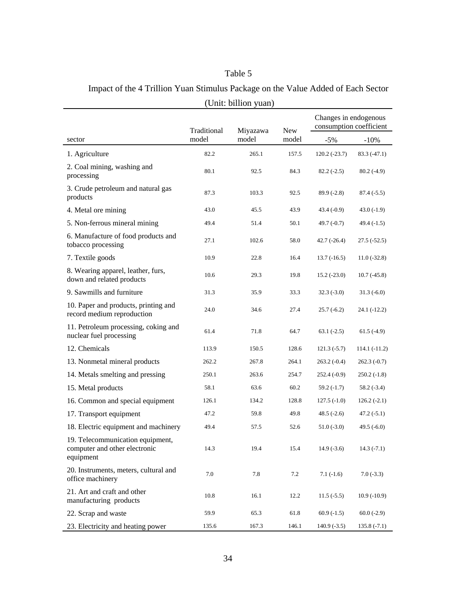## Table 5

Impact of the 4 Trillion Yuan Stimulus Package on the Value Added of Each Sector (Unit: billion yuan)

|                                                                                | Traditional | Miyazawa | <b>New</b> | Changes in endogenous<br>consumption coefficient |                |
|--------------------------------------------------------------------------------|-------------|----------|------------|--------------------------------------------------|----------------|
| sector                                                                         | model       | model    | model      | $-5%$                                            | $-10%$         |
| 1. Agriculture                                                                 | 82.2        | 265.1    | 157.5      | $120.2(-23.7)$                                   | $83.3(-47.1)$  |
| 2. Coal mining, washing and<br>processing                                      | 80.1        | 92.5     | 84.3       | $82.2(-2.5)$                                     | $80.2(-4.9)$   |
| 3. Crude petroleum and natural gas<br>products                                 | 87.3        | 103.3    | 92.5       | $89.9(-2.8)$                                     | $87.4(-5.5)$   |
| 4. Metal ore mining                                                            | 43.0        | 45.5     | 43.9       | $43.4(-0.9)$                                     | $43.0(-1.9)$   |
| 5. Non-ferrous mineral mining                                                  | 49.4        | 51.4     | 50.1       | 49.7 $(-0.7)$                                    | $49.4(-1.5)$   |
| 6. Manufacture of food products and<br>tobacco processing                      | 27.1        | 102.6    | 58.0       | $42.7(-26.4)$                                    | $27.5(-52.5)$  |
| 7. Textile goods                                                               | 10.9        | 22.8     | 16.4       | $13.7(-16.5)$                                    | $11.0(-32.8)$  |
| 8. Wearing apparel, leather, furs,<br>down and related products                | 10.6        | 29.3     | 19.8       | $15.2 (-23.0)$                                   | $10.7(-45.8)$  |
| 9. Sawmills and furniture                                                      | 31.3        | 35.9     | 33.3       | $32.3(-3.0)$                                     | $31.3(-6.0)$   |
| 10. Paper and products, printing and<br>record medium reproduction             | 24.0        | 34.6     | 27.4       | $25.7(-6.2)$                                     | 24.1 (-12.2)   |
| 11. Petroleum processing, coking and<br>nuclear fuel processing                | 61.4        | 71.8     | 64.7       | $63.1(-2.5)$                                     | $61.5(-4.9)$   |
| 12. Chemicals                                                                  | 113.9       | 150.5    | 128.6      | $121.3(-5.7)$                                    | $114.1(-11.2)$ |
| 13. Nonmetal mineral products                                                  | 262.2       | 267.8    | 264.1      | $263.2(-0.4)$                                    | $262.3(-0.7)$  |
| 14. Metals smelting and pressing                                               | 250.1       | 263.6    | 254.7      | $252.4(-0.9)$                                    | $250.2(-1.8)$  |
| 15. Metal products                                                             | 58.1        | 63.6     | 60.2       | $59.2(-1.7)$                                     | $58.2(-3.4)$   |
| 16. Common and special equipment                                               | 126.1       | 134.2    | 128.8      | $127.5(-1.0)$                                    | $126.2(-2.1)$  |
| 17. Transport equipment                                                        | 47.2        | 59.8     | 49.8       | $48.5(-2.6)$                                     | $47.2(-5.1)$   |
| 18. Electric equipment and machinery                                           | 49.4        | 57.5     | 52.6       | $51.0(-3.0)$                                     | $49.5(-6.0)$   |
| 19. Telecommunication equipment,<br>computer and other electronic<br>equipment | 14.3        | 19.4     | 15.4       | $14.9(-3.6)$                                     | $14.3(-7.1)$   |
| 20. Instruments, meters, cultural and<br>office machinery                      | 7.0         | 7.8      | 7.2        | $7.1(-1.6)$                                      | $7.0(-3.3)$    |
| 21. Art and craft and other<br>manufacturing products                          | 10.8        | 16.1     | 12.2       | $11.5(-5.5)$                                     | $10.9(-10.9)$  |
| 22. Scrap and waste                                                            | 59.9        | 65.3     | 61.8       | $60.9(-1.5)$                                     | $60.0(-2.9)$   |
| 23. Electricity and heating power                                              | 135.6       | 167.3    | 146.1      | $140.9(-3.5)$                                    | $135.8(-7.1)$  |